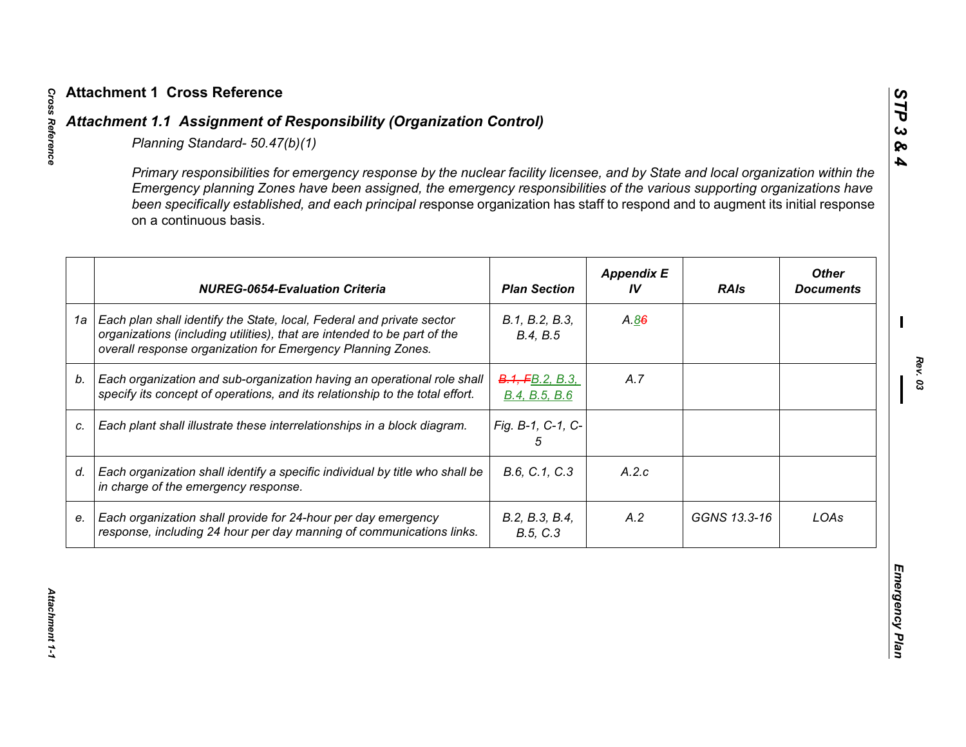|    | Primary responsibilities for emergency response by the nuclear facility licensee, and by State and local organization within the<br>Emergency planning Zones have been assigned, the emergency responsibilities of the various supporting organizations have<br>been specifically established, and each principal response organization has staff to respond and to augment its initial response<br>on a continuous basis. |                                  |                         |              |                                  |
|----|----------------------------------------------------------------------------------------------------------------------------------------------------------------------------------------------------------------------------------------------------------------------------------------------------------------------------------------------------------------------------------------------------------------------------|----------------------------------|-------------------------|--------------|----------------------------------|
|    | <b>NUREG-0654-Evaluation Criteria</b>                                                                                                                                                                                                                                                                                                                                                                                      | <b>Plan Section</b>              | <b>Appendix E</b><br>IV | <b>RAIs</b>  | <b>Other</b><br><b>Documents</b> |
| 1a | Each plan shall identify the State, local, Federal and private sector<br>organizations (including utilities), that are intended to be part of the<br>overall response organization for Emergency Planning Zones.                                                                                                                                                                                                           | B.1, B.2, B.3,<br>B.4, B.5       | A.86                    |              |                                  |
| b. | Each organization and sub-organization having an operational role shall<br>specify its concept of operations, and its relationship to the total effort.                                                                                                                                                                                                                                                                    | B.1, FB.2, B.3,<br>B.4, B.5, B.6 | A.7                     |              |                                  |
| C. | Each plant shall illustrate these interrelationships in a block diagram.                                                                                                                                                                                                                                                                                                                                                   | Fig. B-1, C-1, C-<br>5           |                         |              |                                  |
| d. | Each organization shall identify a specific individual by title who shall be<br>in charge of the emergency response.                                                                                                                                                                                                                                                                                                       | B.6, C.1, C.3                    | A.2.c                   |              |                                  |
| е. | Each organization shall provide for 24-hour per day emergency<br>response, including 24 hour per day manning of communications links.                                                                                                                                                                                                                                                                                      | B.2, B.3, B.4,<br>B.5, C.3       | A.2                     | GGNS 13.3-16 | LOAs                             |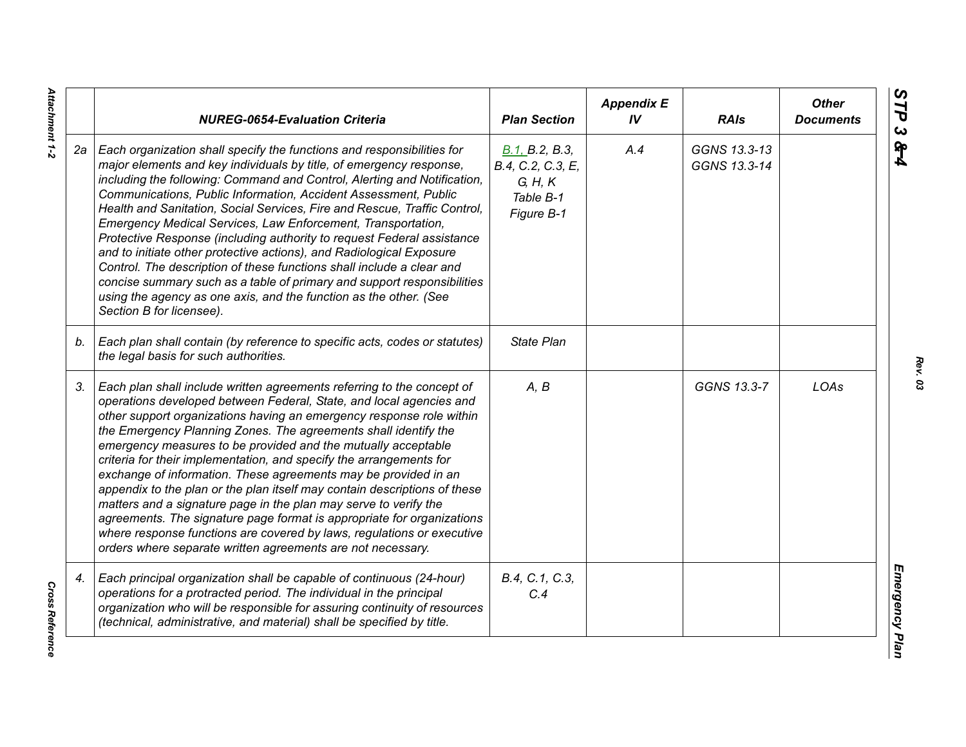|    | <b>NUREG-0654-Evaluation Criteria</b>                                                                                                                                                                                                                                                                                                                                                                                                                                                                                                                                                                                                                                                                                                                                                                                                                                   | <b>Plan Section</b>                                                       | <b>Appendix E</b><br>IV | <b>RAIs</b>                  | <b>Other</b><br><b>Documents</b> |
|----|-------------------------------------------------------------------------------------------------------------------------------------------------------------------------------------------------------------------------------------------------------------------------------------------------------------------------------------------------------------------------------------------------------------------------------------------------------------------------------------------------------------------------------------------------------------------------------------------------------------------------------------------------------------------------------------------------------------------------------------------------------------------------------------------------------------------------------------------------------------------------|---------------------------------------------------------------------------|-------------------------|------------------------------|----------------------------------|
| 2а | Each organization shall specify the functions and responsibilities for<br>major elements and key individuals by title, of emergency response,<br>including the following: Command and Control, Alerting and Notification,<br>Communications, Public Information, Accident Assessment, Public<br>Health and Sanitation, Social Services, Fire and Rescue, Traffic Control,<br>Emergency Medical Services, Law Enforcement, Transportation,<br>Protective Response (including authority to request Federal assistance<br>and to initiate other protective actions), and Radiological Exposure<br>Control. The description of these functions shall include a clear and<br>concise summary such as a table of primary and support responsibilities<br>using the agency as one axis, and the function as the other. (See<br>Section B for licensee).                        | B.1, B.2, B.3,<br>B.4, C.2, C.3, E,<br>G, H, K<br>Table B-1<br>Figure B-1 | A.4                     | GGNS 13.3-13<br>GGNS 13.3-14 |                                  |
| b. | Each plan shall contain (by reference to specific acts, codes or statutes)<br>the legal basis for such authorities.                                                                                                                                                                                                                                                                                                                                                                                                                                                                                                                                                                                                                                                                                                                                                     | <b>State Plan</b>                                                         |                         |                              |                                  |
| 3. | Each plan shall include written agreements referring to the concept of<br>operations developed between Federal, State, and local agencies and<br>other support organizations having an emergency response role within<br>the Emergency Planning Zones. The agreements shall identify the<br>emergency measures to be provided and the mutually acceptable<br>criteria for their implementation, and specify the arrangements for<br>exchange of information. These agreements may be provided in an<br>appendix to the plan or the plan itself may contain descriptions of these<br>matters and a signature page in the plan may serve to verify the<br>agreements. The signature page format is appropriate for organizations<br>where response functions are covered by laws, regulations or executive<br>orders where separate written agreements are not necessary. | A, B                                                                      |                         | GGNS 13.3-7                  | LOAs                             |
| 4. | Each principal organization shall be capable of continuous (24-hour)<br>operations for a protracted period. The individual in the principal<br>organization who will be responsible for assuring continuity of resources<br>(technical, administrative, and material) shall be specified by title.                                                                                                                                                                                                                                                                                                                                                                                                                                                                                                                                                                      | B.4, C.1, C.3,<br>C.4                                                     |                         |                              |                                  |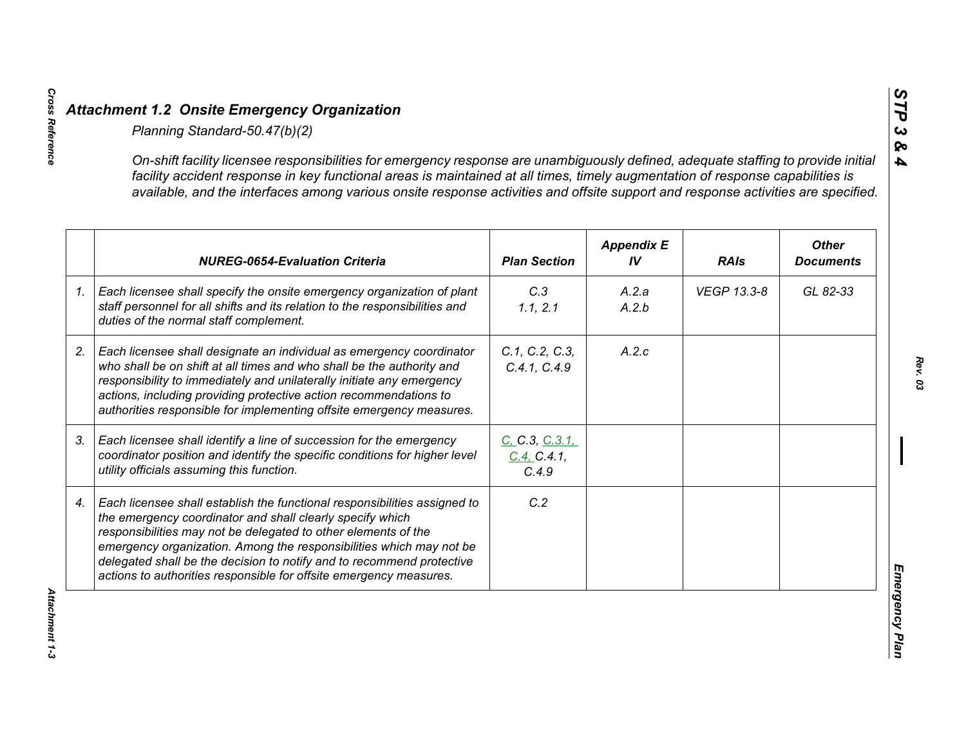| On-shift facility licensee responsibilities for emergency response are unambiguously defined, adequate staffing to provide initial<br>facility accident response in key functional areas is maintained at all times, timely augmentation of response capabilities is<br>available, and the interfaces among various onsite response activities and offsite support and response activities are specified.                      |                                        |                         |             |                                  |
|--------------------------------------------------------------------------------------------------------------------------------------------------------------------------------------------------------------------------------------------------------------------------------------------------------------------------------------------------------------------------------------------------------------------------------|----------------------------------------|-------------------------|-------------|----------------------------------|
| <b>NUREG-0654-Evaluation Criteria</b>                                                                                                                                                                                                                                                                                                                                                                                          | <b>Plan Section</b>                    | <b>Appendix E</b><br>IV | <b>RAIs</b> | <b>Other</b><br><b>Documents</b> |
| Each licensee shall specify the onsite emergency organization of plant<br>staff personnel for all shifts and its relation to the responsibilities and<br>duties of the normal staff complement.                                                                                                                                                                                                                                | C.3<br>1.1, 2.1                        | A.2.a<br>A.2.b          | VEGP 13.3-8 | GL 82-33                         |
| Each licensee shall designate an individual as emergency coordinator<br>who shall be on shift at all times and who shall be the authority and<br>responsibility to immediately and unilaterally initiate any emergency<br>actions, including providing protective action recommendations to<br>authorities responsible for implementing offsite emergency measures.                                                            | C.1, C.2, C.3,<br>C.4.1, C.4.9         | A.2.c                   |             |                                  |
| Each licensee shall identify a line of succession for the emergency<br>coordinator position and identify the specific conditions for higher level<br>utility officials assuming this function.                                                                                                                                                                                                                                 | C. C.3, C.3.1,<br>C.4, C.4.1,<br>C.4.9 |                         |             |                                  |
| Each licensee shall establish the functional responsibilities assigned to<br>the emergency coordinator and shall clearly specify which<br>responsibilities may not be delegated to other elements of the<br>emergency organization. Among the responsibilities which may not be<br>delegated shall be the decision to notify and to recommend protective<br>actions to authorities responsible for offsite emergency measures. | C.2                                    |                         |             |                                  |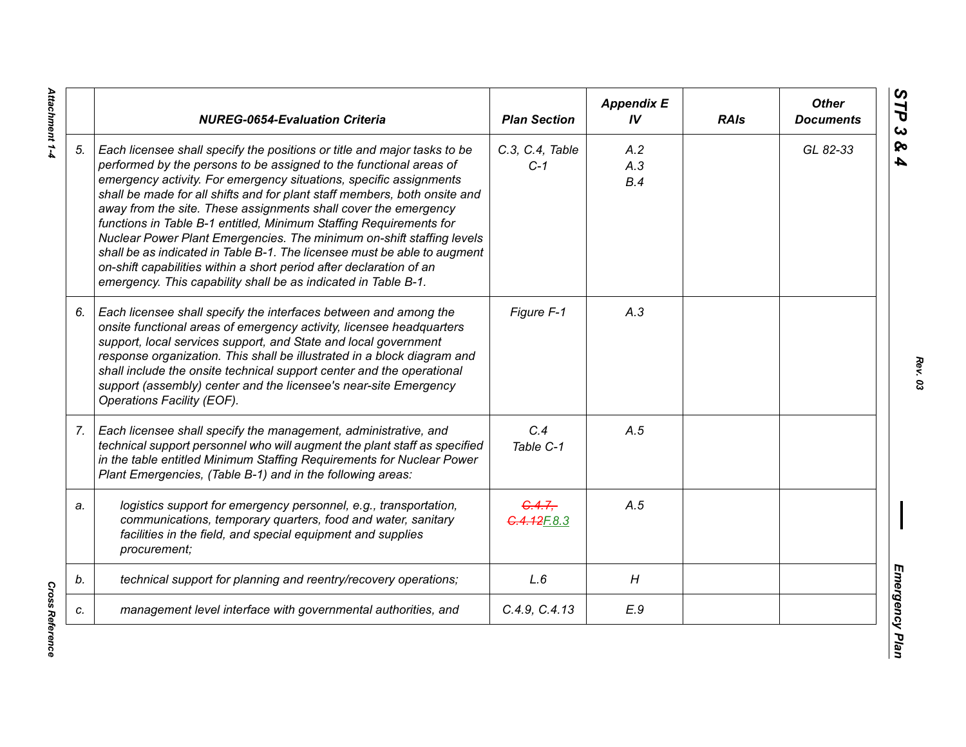|    | <b>NUREG-0654-Evaluation Criteria</b>                                                                                                                                                                                                                                                                                                                                                                                                                                                                                                                                                                                                                                                                                                    | <b>Plan Section</b>      | <b>Appendix E</b><br>IV | <b>RAIs</b> | <b>Other</b><br><b>Documents</b> |
|----|------------------------------------------------------------------------------------------------------------------------------------------------------------------------------------------------------------------------------------------------------------------------------------------------------------------------------------------------------------------------------------------------------------------------------------------------------------------------------------------------------------------------------------------------------------------------------------------------------------------------------------------------------------------------------------------------------------------------------------------|--------------------------|-------------------------|-------------|----------------------------------|
| 5. | Each licensee shall specify the positions or title and major tasks to be<br>performed by the persons to be assigned to the functional areas of<br>emergency activity. For emergency situations, specific assignments<br>shall be made for all shifts and for plant staff members, both onsite and<br>away from the site. These assignments shall cover the emergency<br>functions in Table B-1 entitled, Minimum Staffing Requirements for<br>Nuclear Power Plant Emergencies. The minimum on-shift staffing levels<br>shall be as indicated in Table B-1. The licensee must be able to augment<br>on-shift capabilities within a short period after declaration of an<br>emergency. This capability shall be as indicated in Table B-1. | C.3, C.4, Table<br>$C-1$ | A.2<br>A.3<br>B.4       |             | GL 82-33                         |
| 6. | Each licensee shall specify the interfaces between and among the<br>onsite functional areas of emergency activity, licensee headquarters<br>support, local services support, and State and local government<br>response organization. This shall be illustrated in a block diagram and<br>shall include the onsite technical support center and the operational<br>support (assembly) center and the licensee's near-site Emergency<br>Operations Facility (EOF).                                                                                                                                                                                                                                                                        | Figure F-1               | A.3                     |             |                                  |
| 7. | Each licensee shall specify the management, administrative, and<br>technical support personnel who will augment the plant staff as specified<br>in the table entitled Minimum Staffing Requirements for Nuclear Power<br>Plant Emergencies, (Table B-1) and in the following areas:                                                                                                                                                                                                                                                                                                                                                                                                                                                      | C.4<br>Table C-1         | A.5                     |             |                                  |
| a. | logistics support for emergency personnel, e.g., transportation,<br>communications, temporary quarters, food and water, sanitary<br>facilities in the field, and special equipment and supplies<br>procurement;                                                                                                                                                                                                                                                                                                                                                                                                                                                                                                                          | G.4.7.<br>4.12F.8.3      | A.5                     |             |                                  |
| b. | technical support for planning and reentry/recovery operations;                                                                                                                                                                                                                                                                                                                                                                                                                                                                                                                                                                                                                                                                          | L.6                      | H                       |             |                                  |
| c. | management level interface with governmental authorities, and                                                                                                                                                                                                                                                                                                                                                                                                                                                                                                                                                                                                                                                                            | C.4.9, C.4.13            | E.9                     |             |                                  |

**Cross Reference** *Cross Reference*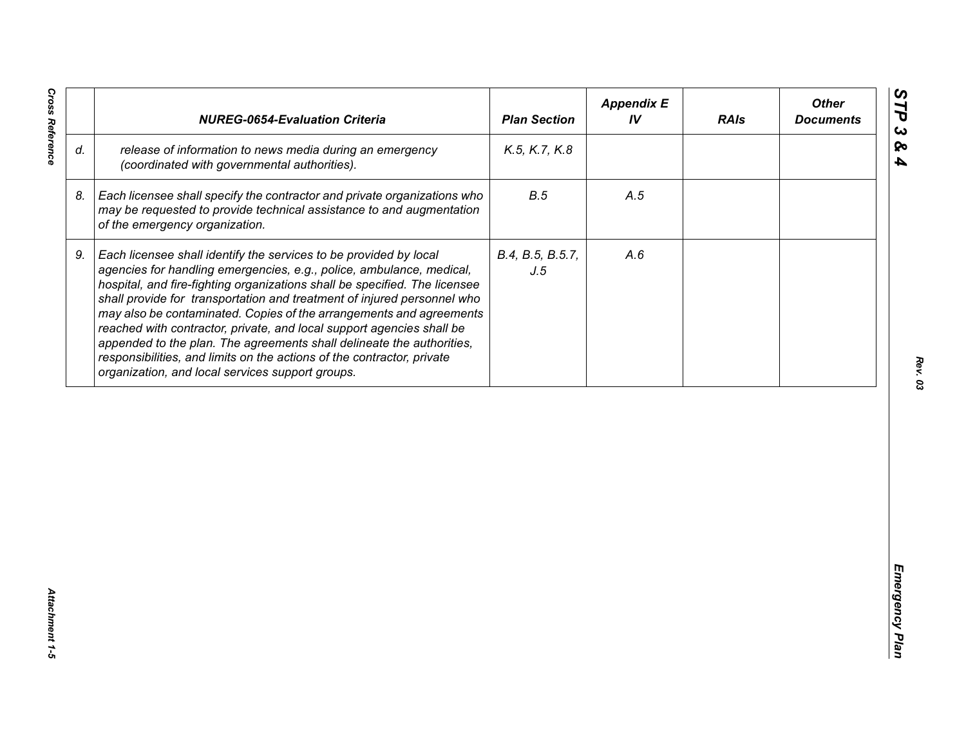| release of information to news media during an emergency<br>K.5, K.7, K.8<br>(coordinated with governmental authorities).<br>B.5<br>Each licensee shall specify the contractor and private organizations who<br>A.5<br>may be requested to provide technical assistance to and augmentation<br>of the emergency organization.<br>Each licensee shall identify the services to be provided by local<br>B.4, B.5, B.5.7,<br>A.6<br>agencies for handling emergencies, e.g., police, ambulance, medical,<br>J.5<br>hospital, and fire-fighting organizations shall be specified. The licensee<br>shall provide for transportation and treatment of injured personnel who<br>may also be contaminated. Copies of the arrangements and agreements<br>reached with contractor, private, and local support agencies shall be | appended to the plan. The agreements shall delineate the authorities,<br>responsibilities, and limits on the actions of the contractor, private<br>organization, and local services support groups. |    | <b>NUREG-0654-Evaluation Criteria</b> | <b>Plan Section</b> | <b>Appendix E</b><br>IV | <b>RAIs</b> | <b>Other</b><br><b>Documents</b> |
|-----------------------------------------------------------------------------------------------------------------------------------------------------------------------------------------------------------------------------------------------------------------------------------------------------------------------------------------------------------------------------------------------------------------------------------------------------------------------------------------------------------------------------------------------------------------------------------------------------------------------------------------------------------------------------------------------------------------------------------------------------------------------------------------------------------------------|-----------------------------------------------------------------------------------------------------------------------------------------------------------------------------------------------------|----|---------------------------------------|---------------------|-------------------------|-------------|----------------------------------|
|                                                                                                                                                                                                                                                                                                                                                                                                                                                                                                                                                                                                                                                                                                                                                                                                                       |                                                                                                                                                                                                     | d. |                                       |                     |                         |             |                                  |
|                                                                                                                                                                                                                                                                                                                                                                                                                                                                                                                                                                                                                                                                                                                                                                                                                       |                                                                                                                                                                                                     | 8. |                                       |                     |                         |             |                                  |
|                                                                                                                                                                                                                                                                                                                                                                                                                                                                                                                                                                                                                                                                                                                                                                                                                       |                                                                                                                                                                                                     | 9. |                                       |                     |                         |             |                                  |
|                                                                                                                                                                                                                                                                                                                                                                                                                                                                                                                                                                                                                                                                                                                                                                                                                       |                                                                                                                                                                                                     |    |                                       |                     |                         |             |                                  |
|                                                                                                                                                                                                                                                                                                                                                                                                                                                                                                                                                                                                                                                                                                                                                                                                                       |                                                                                                                                                                                                     |    |                                       |                     |                         |             |                                  |
|                                                                                                                                                                                                                                                                                                                                                                                                                                                                                                                                                                                                                                                                                                                                                                                                                       |                                                                                                                                                                                                     |    |                                       |                     |                         |             |                                  |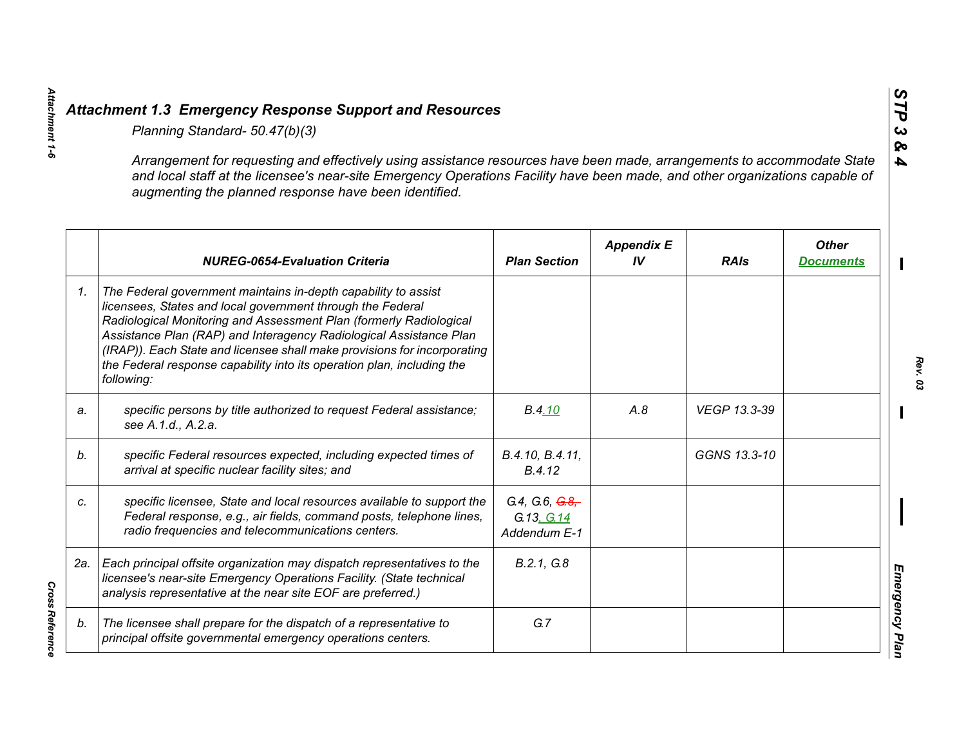|    | Planning Standard- 50.47(b)(3)                                                                                                                                                                                                                                                                                                                                                                                                               |                                                 |                         |              |                                  |
|----|----------------------------------------------------------------------------------------------------------------------------------------------------------------------------------------------------------------------------------------------------------------------------------------------------------------------------------------------------------------------------------------------------------------------------------------------|-------------------------------------------------|-------------------------|--------------|----------------------------------|
|    | Arrangement for requesting and effectively using assistance resources have been made, arrangements to accommodate State<br>and local staff at the licensee's near-site Emergency Operations Facility have been made, and other organizations capable of<br>augmenting the planned response have been identified.                                                                                                                             |                                                 |                         |              |                                  |
|    | <b>NUREG-0654-Evaluation Criteria</b>                                                                                                                                                                                                                                                                                                                                                                                                        | <b>Plan Section</b>                             | <b>Appendix E</b><br>IV | <b>RAIs</b>  | <b>Other</b><br><b>Documents</b> |
| 1. | The Federal government maintains in-depth capability to assist<br>licensees, States and local government through the Federal<br>Radiological Monitoring and Assessment Plan (formerly Radiological<br>Assistance Plan (RAP) and Interagency Radiological Assistance Plan<br>(IRAP)). Each State and licensee shall make provisions for incorporating<br>the Federal response capability into its operation plan, including the<br>following: |                                                 |                         |              |                                  |
| a. | specific persons by title authorized to request Federal assistance;<br>see A.1.d., A.2.a.                                                                                                                                                                                                                                                                                                                                                    | B.4.10                                          | A.8                     | VEGP 13.3-39 |                                  |
| b. | specific Federal resources expected, including expected times of<br>arrival at specific nuclear facility sites; and                                                                                                                                                                                                                                                                                                                          | B.4.10, B.4.11,<br>B.4.12                       |                         | GGNS 13.3-10 |                                  |
| C. | specific licensee, State and local resources available to support the<br>Federal response, e.g., air fields, command posts, telephone lines,<br>radio frequencies and telecommunications centers.                                                                                                                                                                                                                                            | G.4, G.6, $G.8$ ,<br>G.13, G.14<br>Addendum E-1 |                         |              |                                  |
|    | 2a.   Each principal offsite organization may dispatch representatives to the<br>licensee's near-site Emergency Operations Facility. (State technical<br>analysis representative at the near site EOF are preferred.)                                                                                                                                                                                                                        | B.2.1, G.8                                      |                         |              |                                  |
| b. | The licensee shall prepare for the dispatch of a representative to<br>principal offsite governmental emergency operations centers.                                                                                                                                                                                                                                                                                                           | G.7                                             |                         |              |                                  |

Attachment 1-6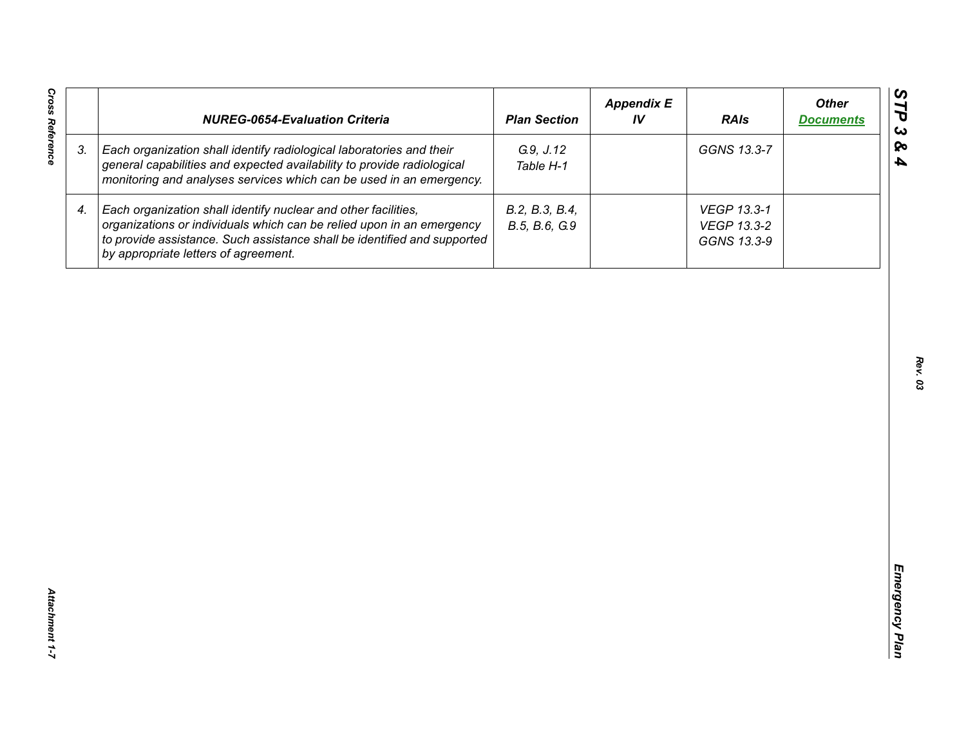| <b>Cross Reference</b> | <b>NUREG-0654-Evaluation Criteria</b>                                                                                                                                                                                                                       | <b>Plan Section</b>             | <b>Appendix E</b><br>IV | <b>RAIs</b>                               | <b>Other</b><br><b>Documents</b> |
|------------------------|-------------------------------------------------------------------------------------------------------------------------------------------------------------------------------------------------------------------------------------------------------------|---------------------------------|-------------------------|-------------------------------------------|----------------------------------|
| 3.                     | Each organization shall identify radiological laboratories and their<br>general capabilities and expected availability to provide radiological<br>monitoring and analyses services which can be used in an emergency.                                       | G.9, J.12<br>Table H-1          |                         | GGNS 13.3-7                               |                                  |
| 4.                     | Each organization shall identify nuclear and other facilities,<br>organizations or individuals which can be relied upon in an emergency<br>to provide assistance. Such assistance shall be identified and supported<br>by appropriate letters of agreement. | B.2, B.3, B.4,<br>B.5, B.6, G.9 |                         | VEGP 13.3-1<br>VEGP 13.3-2<br>GGNS 13.3-9 |                                  |
|                        |                                                                                                                                                                                                                                                             |                                 |                         |                                           |                                  |
|                        |                                                                                                                                                                                                                                                             |                                 |                         |                                           |                                  |
|                        |                                                                                                                                                                                                                                                             |                                 |                         |                                           |                                  |
|                        |                                                                                                                                                                                                                                                             |                                 |                         |                                           |                                  |
|                        |                                                                                                                                                                                                                                                             |                                 |                         |                                           |                                  |
|                        |                                                                                                                                                                                                                                                             |                                 |                         |                                           |                                  |
| Attachment 1-7         |                                                                                                                                                                                                                                                             |                                 |                         |                                           |                                  |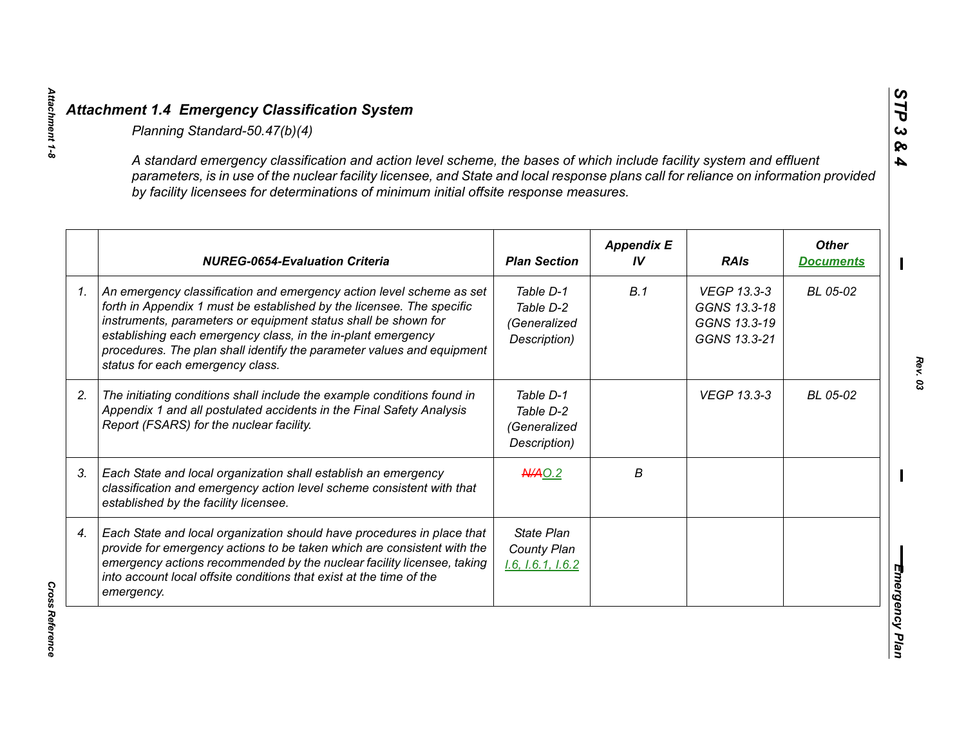| parameters, is in use of the nuclear facility licensee, and State and local response plans call for reliance on information provided<br>by facility licensees for determinations of minimum initial offsite response measures.                                                                                                                                                                |                                                        |                         |                                                             |                                  |
|-----------------------------------------------------------------------------------------------------------------------------------------------------------------------------------------------------------------------------------------------------------------------------------------------------------------------------------------------------------------------------------------------|--------------------------------------------------------|-------------------------|-------------------------------------------------------------|----------------------------------|
| <b>NUREG-0654-Evaluation Criteria</b>                                                                                                                                                                                                                                                                                                                                                         | <b>Plan Section</b>                                    | <b>Appendix E</b><br>IV | <b>RAIs</b>                                                 | <b>Other</b><br><b>Documents</b> |
| An emergency classification and emergency action level scheme as set<br>forth in Appendix 1 must be established by the licensee. The specific<br>instruments, parameters or equipment status shall be shown for<br>establishing each emergency class, in the in-plant emergency<br>procedures. The plan shall identify the parameter values and equipment<br>status for each emergency class. | Table D-1<br>Table D-2<br>(Generalized<br>Description) | B.1                     | VEGP 13.3-3<br>GGNS 13.3-18<br>GGNS 13.3-19<br>GGNS 13.3-21 | BL 05-02                         |
| The initiating conditions shall include the example conditions found in<br>Appendix 1 and all postulated accidents in the Final Safety Analysis<br>Report (FSARS) for the nuclear facility.                                                                                                                                                                                                   | Table D-1<br>Table D-2<br>(Generalized<br>Description) |                         | <b>VEGP 13.3-3</b>                                          | BL 05-02                         |
| Each State and local organization shall establish an emergency<br>classification and emergency action level scheme consistent with that<br>established by the facility licensee.                                                                                                                                                                                                              | $A$ $A$ $O.2$                                          | В                       |                                                             |                                  |
| Each State and local organization should have procedures in place that<br>provide for emergency actions to be taken which are consistent with the<br>emergency actions recommended by the nuclear facility licensee, taking<br>into account local offsite conditions that exist at the time of the<br>emergency.                                                                              | <b>State Plan</b><br>County Plan<br>1.6, 1.6.1, 1.6.2  |                         |                                                             |                                  |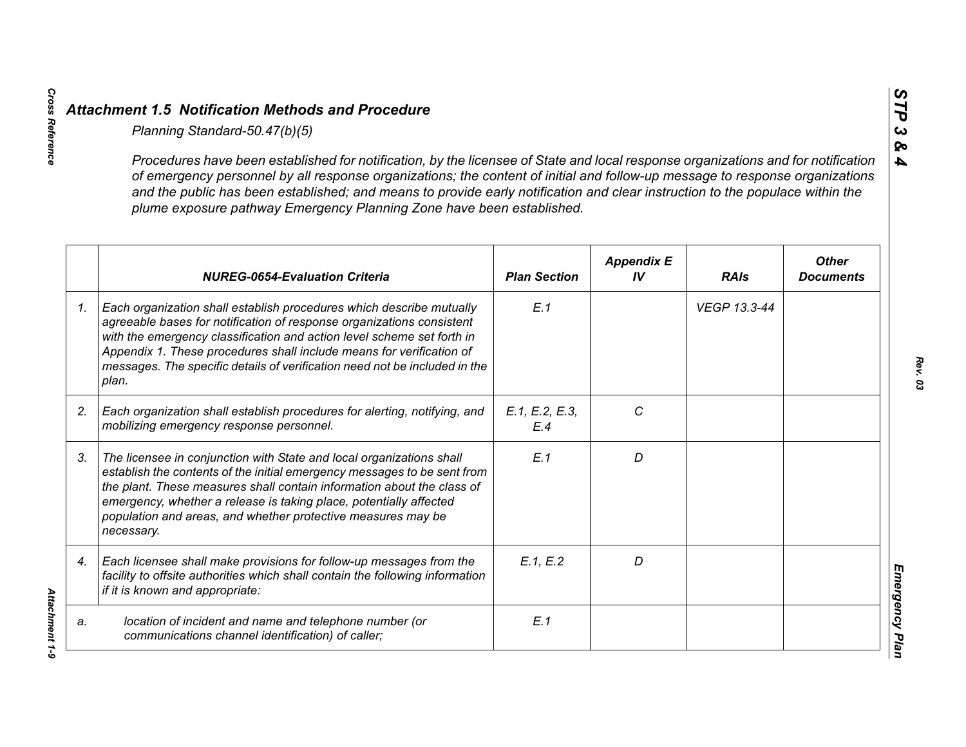|                 | Planning Standard-50.47(b)(5)                                                                                                                                                                                                                                                                                                                                                                                                                                               |                       |                         |              |                                  |
|-----------------|-----------------------------------------------------------------------------------------------------------------------------------------------------------------------------------------------------------------------------------------------------------------------------------------------------------------------------------------------------------------------------------------------------------------------------------------------------------------------------|-----------------------|-------------------------|--------------|----------------------------------|
|                 | Procedures have been established for notification, by the licensee of State and local response organizations and for notification<br>of emergency personnel by all response organizations; the content of initial and follow-up message to response organizations<br>and the public has been established; and means to provide early notification and clear instruction to the populace within the<br>plume exposure pathway Emergency Planning Zone have been established. |                       |                         |              |                                  |
|                 | <b>NUREG-0654-Evaluation Criteria</b>                                                                                                                                                                                                                                                                                                                                                                                                                                       | <b>Plan Section</b>   | <b>Appendix E</b><br>IV | <b>RAIs</b>  | <b>Other</b><br><b>Documents</b> |
| $\mathcal{I}$ . | Each organization shall establish procedures which describe mutually<br>agreeable bases for notification of response organizations consistent<br>with the emergency classification and action level scheme set forth in<br>Appendix 1. These procedures shall include means for verification of<br>messages. The specific details of verification need not be included in the<br>plan.                                                                                      | E.1                   |                         | VEGP 13.3-44 |                                  |
| 2.              | Each organization shall establish procedures for alerting, notifying, and<br>mobilizing emergency response personnel.                                                                                                                                                                                                                                                                                                                                                       | E.1, E.2, E.3,<br>E.4 | C                       |              |                                  |
| 3.              | The licensee in conjunction with State and local organizations shall<br>establish the contents of the initial emergency messages to be sent from<br>the plant. These measures shall contain information about the class of<br>emergency, whether a release is taking place, potentially affected<br>population and areas, and whether protective measures may be<br>necessary.                                                                                              | E.1                   | D                       |              |                                  |
| 4.              | Each licensee shall make provisions for follow-up messages from the<br>facility to offsite authorities which shall contain the following information<br>if it is known and appropriate:                                                                                                                                                                                                                                                                                     | E.1, E.2              | D                       |              |                                  |
| a.              | location of incident and name and telephone number (or<br>communications channel identification) of caller;                                                                                                                                                                                                                                                                                                                                                                 | E.1                   |                         |              |                                  |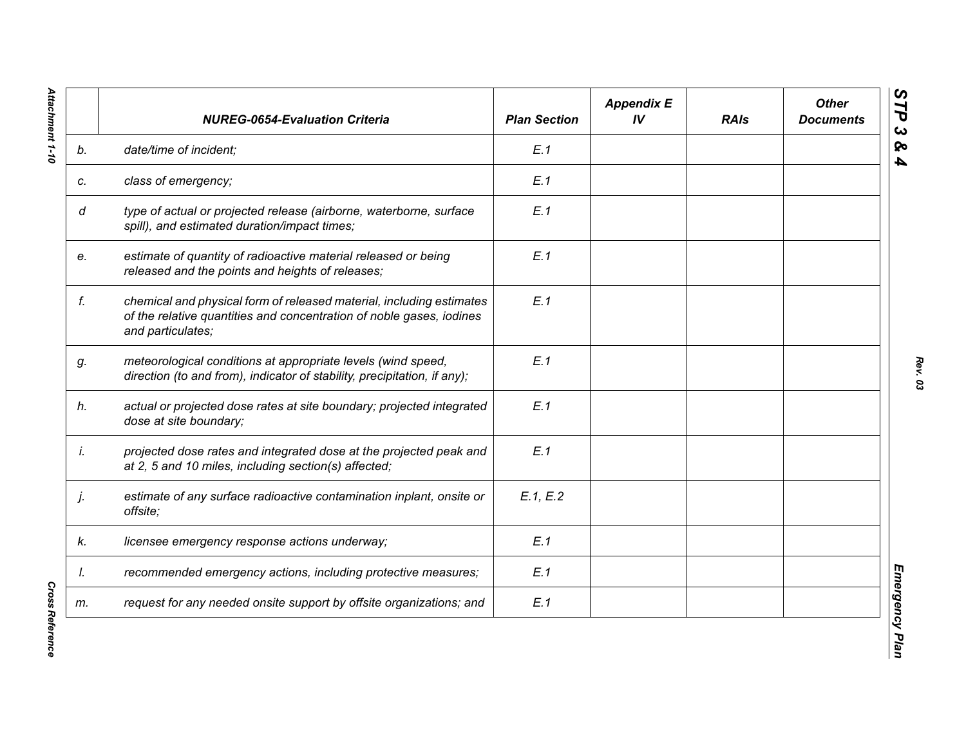|    | <b>NUREG-0654-Evaluation Criteria</b>                                                                                                                             | <b>Plan Section</b> | <b>Appendix E</b><br>IV | <b>RAIs</b> | <b>Other</b><br><b>Documents</b> |
|----|-------------------------------------------------------------------------------------------------------------------------------------------------------------------|---------------------|-------------------------|-------------|----------------------------------|
| b. | date/time of incident;                                                                                                                                            | E.1                 |                         |             |                                  |
| c. | class of emergency;                                                                                                                                               | E.1                 |                         |             |                                  |
| d  | type of actual or projected release (airborne, waterborne, surface<br>spill), and estimated duration/impact times;                                                | E.1                 |                         |             |                                  |
| e. | estimate of quantity of radioactive material released or being<br>released and the points and heights of releases;                                                | E.1                 |                         |             |                                  |
| f. | chemical and physical form of released material, including estimates<br>of the relative quantities and concentration of noble gases, iodines<br>and particulates; | E.1                 |                         |             |                                  |
| g. | meteorological conditions at appropriate levels (wind speed,<br>direction (to and from), indicator of stability, precipitation, if any);                          | E.1                 |                         |             |                                  |
| h. | actual or projected dose rates at site boundary; projected integrated<br>dose at site boundary;                                                                   | E.1                 |                         |             |                                  |
| İ. | projected dose rates and integrated dose at the projected peak and<br>at 2, 5 and 10 miles, including section(s) affected;                                        | E.1                 |                         |             |                                  |
| j. | estimate of any surface radioactive contamination inplant, onsite or<br>offsite;                                                                                  | E.1, E.2            |                         |             |                                  |
| k. | licensee emergency response actions underway;                                                                                                                     | E.1                 |                         |             |                                  |
| I. | recommended emergency actions, including protective measures;                                                                                                     | E.1                 |                         |             |                                  |
| m. | request for any needed onsite support by offsite organizations; and                                                                                               | E.1                 |                         |             |                                  |

*Cross Reference*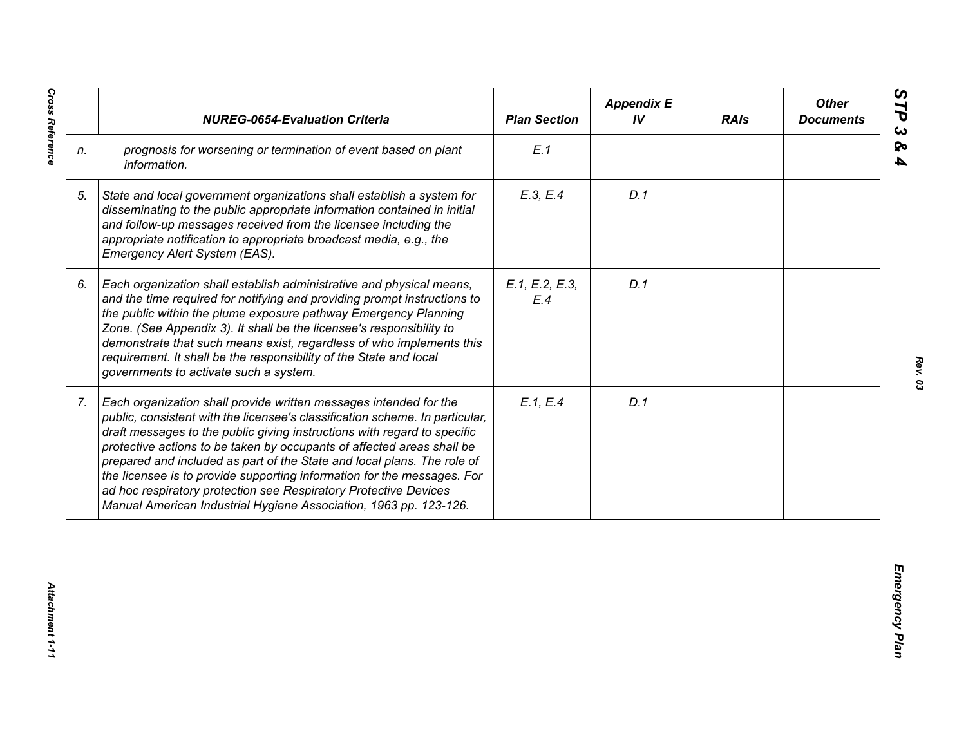|                | <b>NUREG-0654-Evaluation Criteria</b>                                                                                                                                                                                                                                                                                                                                                                                                                                                                                                                                                                  | <b>Plan Section</b>   | <b>Appendix E</b><br>IV | <b>RAIs</b> | <b>Other</b><br><b>Documents</b> |
|----------------|--------------------------------------------------------------------------------------------------------------------------------------------------------------------------------------------------------------------------------------------------------------------------------------------------------------------------------------------------------------------------------------------------------------------------------------------------------------------------------------------------------------------------------------------------------------------------------------------------------|-----------------------|-------------------------|-------------|----------------------------------|
| n.             | prognosis for worsening or termination of event based on plant<br>information.                                                                                                                                                                                                                                                                                                                                                                                                                                                                                                                         | E.1                   |                         |             |                                  |
| 5.             | State and local government organizations shall establish a system for<br>disseminating to the public appropriate information contained in initial<br>and follow-up messages received from the licensee including the<br>appropriate notification to appropriate broadcast media, e.g., the<br>Emergency Alert System (EAS).                                                                                                                                                                                                                                                                            | E.3, E.4              | D.1                     |             |                                  |
| 6.             | Each organization shall establish administrative and physical means,<br>and the time required for notifying and providing prompt instructions to<br>the public within the plume exposure pathway Emergency Planning<br>Zone. (See Appendix 3). It shall be the licensee's responsibility to<br>demonstrate that such means exist, regardless of who implements this<br>requirement. It shall be the responsibility of the State and local<br>governments to activate such a system.                                                                                                                    | E.1, E.2, E.3,<br>E.4 | D.1                     |             |                                  |
| 7 <sub>1</sub> | Each organization shall provide written messages intended for the<br>public, consistent with the licensee's classification scheme. In particular,<br>draft messages to the public giving instructions with regard to specific<br>protective actions to be taken by occupants of affected areas shall be<br>prepared and included as part of the State and local plans. The role of<br>the licensee is to provide supporting information for the messages. For<br>ad hoc respiratory protection see Respiratory Protective Devices<br>Manual American Industrial Hygiene Association, 1963 pp. 123-126. | E.1, E.4              | D.1                     |             |                                  |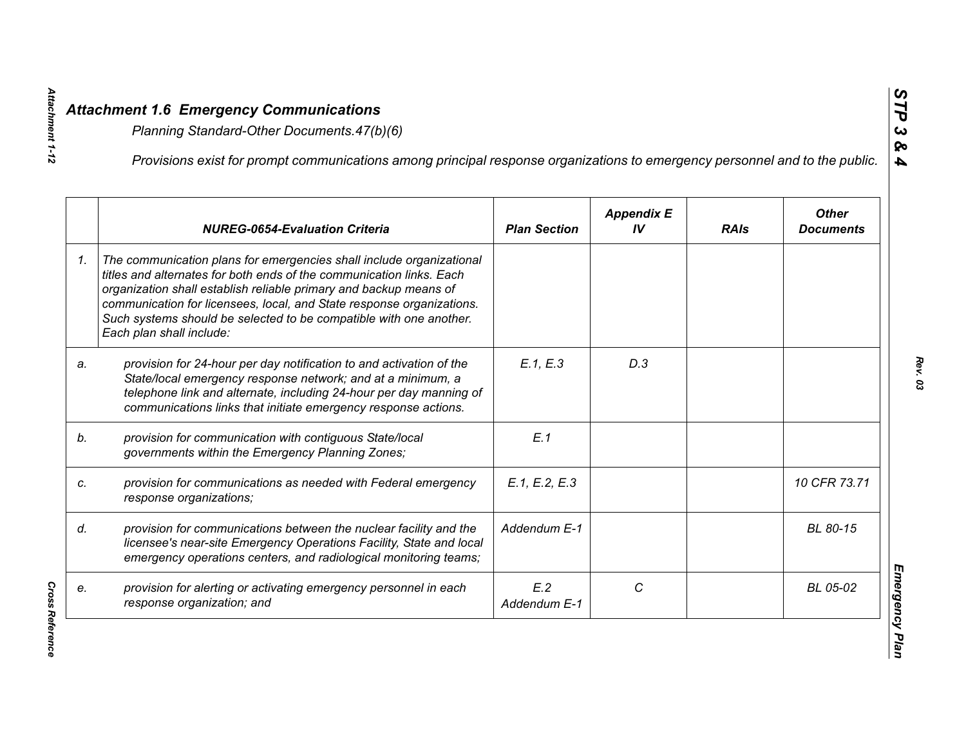|    | Provisions exist for prompt communications among principal response organizations to emergency personnel and to the public.                                                                                                                                                                                                                                                                  |                     |                         |             |                                  |
|----|----------------------------------------------------------------------------------------------------------------------------------------------------------------------------------------------------------------------------------------------------------------------------------------------------------------------------------------------------------------------------------------------|---------------------|-------------------------|-------------|----------------------------------|
|    | <b>NUREG-0654-Evaluation Criteria</b>                                                                                                                                                                                                                                                                                                                                                        | <b>Plan Section</b> | <b>Appendix E</b><br>IV | <b>RAIs</b> | <b>Other</b><br><b>Documents</b> |
| 1. | The communication plans for emergencies shall include organizational<br>titles and alternates for both ends of the communication links. Each<br>organization shall establish reliable primary and backup means of<br>communication for licensees, local, and State response organizations.<br>Such systems should be selected to be compatible with one another.<br>Each plan shall include: |                     |                         |             |                                  |
| a. | provision for 24-hour per day notification to and activation of the<br>State/local emergency response network; and at a minimum, a<br>telephone link and alternate, including 24-hour per day manning of<br>communications links that initiate emergency response actions.                                                                                                                   | E.1, E.3            | D.3                     |             |                                  |
|    | provision for communication with contiguous State/local<br>governments within the Emergency Planning Zones;                                                                                                                                                                                                                                                                                  | E.1                 |                         |             |                                  |
|    | provision for communications as needed with Federal emergency<br>response organizations;                                                                                                                                                                                                                                                                                                     | E.1, E.2, E.3       |                         |             | 10 CFR 73.71                     |
|    | provision for communications between the nuclear facility and the<br>licensee's near-site Emergency Operations Facility, State and local<br>emergency operations centers, and radiological monitoring teams;                                                                                                                                                                                 | Addendum E-1        |                         |             | BL 80-15                         |
|    | provision for alerting or activating emergency personnel in each<br>response organization; and                                                                                                                                                                                                                                                                                               | E.2<br>Addendum E-1 | C                       |             | BL 05-02                         |

Attachment 1-12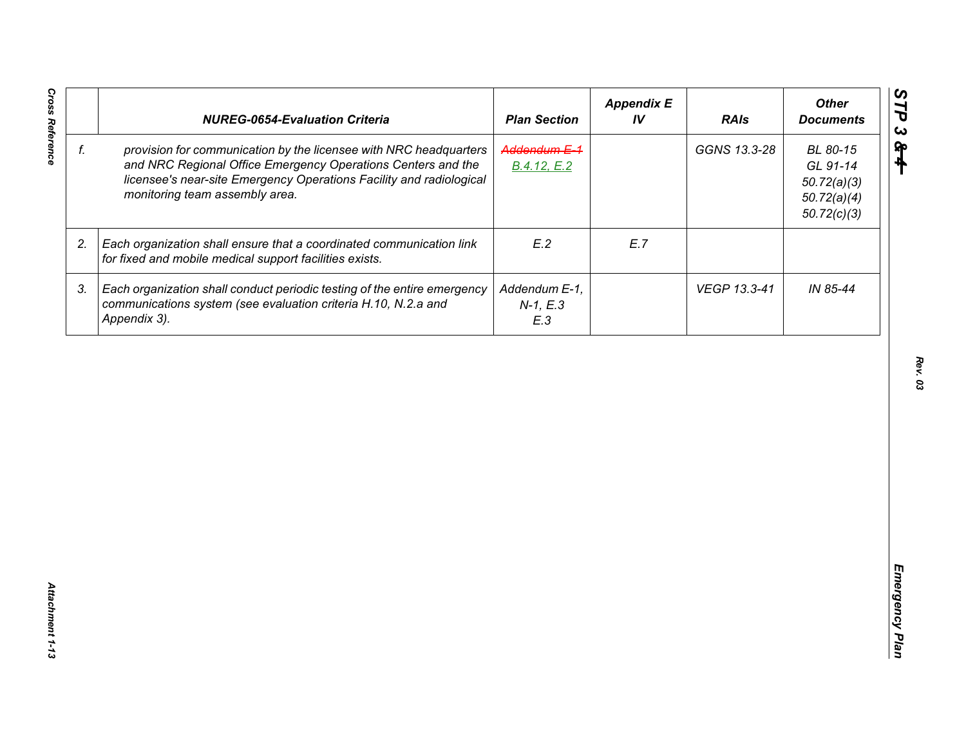| Addendum E-1<br>f.<br>provision for communication by the licensee with NRC headquarters<br>GGNS 13.3-28<br>BL 80-15<br>and NRC Regional Office Emergency Operations Centers and the<br>GL 91-14<br>B.4.12, E.2<br>licensee's near-site Emergency Operations Facility and radiological<br>50.72(a)(3)<br>monitoring team assembly area.<br>50.72(a)(4)<br>50.72(c)(3)<br>E.2<br>E.7<br>2.<br>Each organization shall ensure that a coordinated communication link<br>for fixed and mobile medical support facilities exists.<br>IN 85-44<br>3.<br>Each organization shall conduct periodic testing of the entire emergency<br>Addendum E-1,<br>VEGP 13.3-41<br>communications system (see evaluation criteria H.10, N.2.a and<br>$N-1, E.3$<br>Appendix 3).<br>E.3 | <b>NUREG-0654-Evaluation Criteria</b> | <b>Plan Section</b> | <b>Appendix E</b><br>IV | <b>RAIs</b> | <b>Other</b><br><b>Documents</b> |
|-------------------------------------------------------------------------------------------------------------------------------------------------------------------------------------------------------------------------------------------------------------------------------------------------------------------------------------------------------------------------------------------------------------------------------------------------------------------------------------------------------------------------------------------------------------------------------------------------------------------------------------------------------------------------------------------------------------------------------------------------------------------|---------------------------------------|---------------------|-------------------------|-------------|----------------------------------|
|                                                                                                                                                                                                                                                                                                                                                                                                                                                                                                                                                                                                                                                                                                                                                                   |                                       |                     |                         |             |                                  |
|                                                                                                                                                                                                                                                                                                                                                                                                                                                                                                                                                                                                                                                                                                                                                                   |                                       |                     |                         |             |                                  |
|                                                                                                                                                                                                                                                                                                                                                                                                                                                                                                                                                                                                                                                                                                                                                                   |                                       |                     |                         |             |                                  |
|                                                                                                                                                                                                                                                                                                                                                                                                                                                                                                                                                                                                                                                                                                                                                                   |                                       |                     |                         |             |                                  |
|                                                                                                                                                                                                                                                                                                                                                                                                                                                                                                                                                                                                                                                                                                                                                                   |                                       |                     |                         |             |                                  |
|                                                                                                                                                                                                                                                                                                                                                                                                                                                                                                                                                                                                                                                                                                                                                                   |                                       |                     |                         |             |                                  |
|                                                                                                                                                                                                                                                                                                                                                                                                                                                                                                                                                                                                                                                                                                                                                                   |                                       |                     |                         |             |                                  |
|                                                                                                                                                                                                                                                                                                                                                                                                                                                                                                                                                                                                                                                                                                                                                                   |                                       |                     |                         |             |                                  |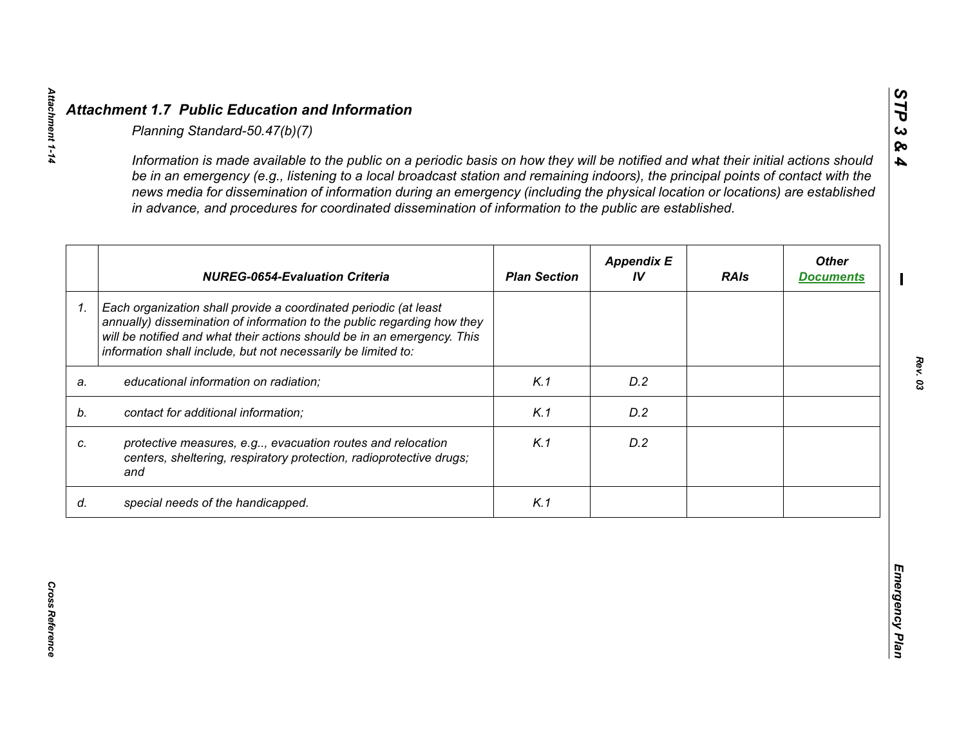|    | in advance, and procedures for coordinated dissemination of information to the public are established.                                                                                                                                                                                  |                     |                         |             |                                  |
|----|-----------------------------------------------------------------------------------------------------------------------------------------------------------------------------------------------------------------------------------------------------------------------------------------|---------------------|-------------------------|-------------|----------------------------------|
|    | <b>NUREG-0654-Evaluation Criteria</b>                                                                                                                                                                                                                                                   | <b>Plan Section</b> | <b>Appendix E</b><br>IV | <b>RAIs</b> | <b>Other</b><br><b>Documents</b> |
| 1. | Each organization shall provide a coordinated periodic (at least<br>annually) dissemination of information to the public regarding how they<br>will be notified and what their actions should be in an emergency. This<br>information shall include, but not necessarily be limited to: |                     |                         |             |                                  |
| a. | educational information on radiation;                                                                                                                                                                                                                                                   | K.1                 | D.2                     |             |                                  |
| b. | contact for additional information;                                                                                                                                                                                                                                                     | K.1                 | D.2                     |             |                                  |
| C. | protective measures, e.g, evacuation routes and relocation<br>centers, sheltering, respiratory protection, radioprotective drugs;<br>and                                                                                                                                                | K.1                 | D.2                     |             |                                  |
| d. | special needs of the handicapped.                                                                                                                                                                                                                                                       | K.1                 |                         |             |                                  |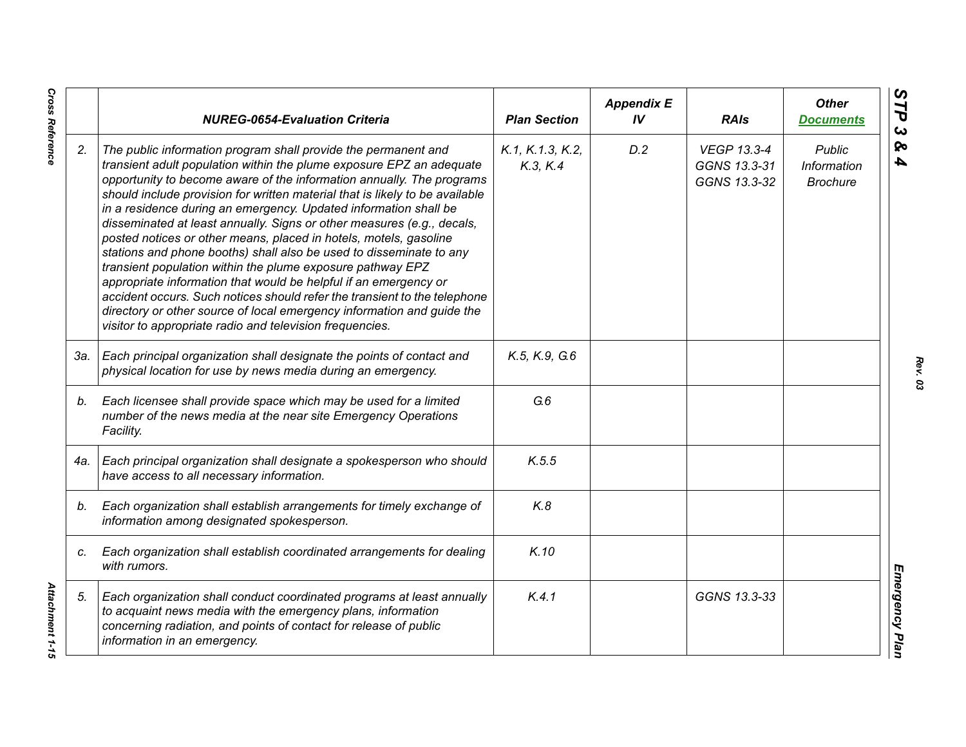|     | <b>NUREG-0654-Evaluation Criteria</b>                                                                                                                                                                                                                                                                                                                                                                                                                                                                                                                                                                                                                                                                                                                                                                                                                                                                                                          | <b>Plan Section</b>          | <b>Appendix E</b><br>IV | <b>RAIs</b>                                        | <b>Other</b><br><b>Documents</b>         |
|-----|------------------------------------------------------------------------------------------------------------------------------------------------------------------------------------------------------------------------------------------------------------------------------------------------------------------------------------------------------------------------------------------------------------------------------------------------------------------------------------------------------------------------------------------------------------------------------------------------------------------------------------------------------------------------------------------------------------------------------------------------------------------------------------------------------------------------------------------------------------------------------------------------------------------------------------------------|------------------------------|-------------------------|----------------------------------------------------|------------------------------------------|
| 2.  | The public information program shall provide the permanent and<br>transient adult population within the plume exposure EPZ an adequate<br>opportunity to become aware of the information annually. The programs<br>should include provision for written material that is likely to be available<br>in a residence during an emergency. Updated information shall be<br>disseminated at least annually. Signs or other measures (e.g., decals,<br>posted notices or other means, placed in hotels, motels, gasoline<br>stations and phone booths) shall also be used to disseminate to any<br>transient population within the plume exposure pathway EPZ<br>appropriate information that would be helpful if an emergency or<br>accident occurs. Such notices should refer the transient to the telephone<br>directory or other source of local emergency information and guide the<br>visitor to appropriate radio and television frequencies. | K.1, K.1.3, K.2,<br>K.3, K.4 | D.2                     | <b>VEGP 13.3-4</b><br>GGNS 13.3-31<br>GGNS 13.3-32 | Public<br>Information<br><b>Brochure</b> |
| За. | Each principal organization shall designate the points of contact and<br>physical location for use by news media during an emergency.                                                                                                                                                                                                                                                                                                                                                                                                                                                                                                                                                                                                                                                                                                                                                                                                          | K.5, K.9, G.6                |                         |                                                    |                                          |
| b.  | Each licensee shall provide space which may be used for a limited<br>number of the news media at the near site Emergency Operations<br>Facility.                                                                                                                                                                                                                                                                                                                                                                                                                                                                                                                                                                                                                                                                                                                                                                                               | G.6                          |                         |                                                    |                                          |
| 4a. | Each principal organization shall designate a spokesperson who should<br>have access to all necessary information.                                                                                                                                                                                                                                                                                                                                                                                                                                                                                                                                                                                                                                                                                                                                                                                                                             | K.5.5                        |                         |                                                    |                                          |
| b.  | Each organization shall establish arrangements for timely exchange of<br>information among designated spokesperson.                                                                                                                                                                                                                                                                                                                                                                                                                                                                                                                                                                                                                                                                                                                                                                                                                            | K.8                          |                         |                                                    |                                          |
| C.  | Each organization shall establish coordinated arrangements for dealing<br>with rumors.                                                                                                                                                                                                                                                                                                                                                                                                                                                                                                                                                                                                                                                                                                                                                                                                                                                         | K.10                         |                         |                                                    |                                          |
| 5.  | Each organization shall conduct coordinated programs at least annually<br>to acquaint news media with the emergency plans, information<br>concerning radiation, and points of contact for release of public<br>information in an emergency.                                                                                                                                                                                                                                                                                                                                                                                                                                                                                                                                                                                                                                                                                                    | K.4.1                        |                         | GGNS 13.3-33                                       |                                          |

*Rev. 03*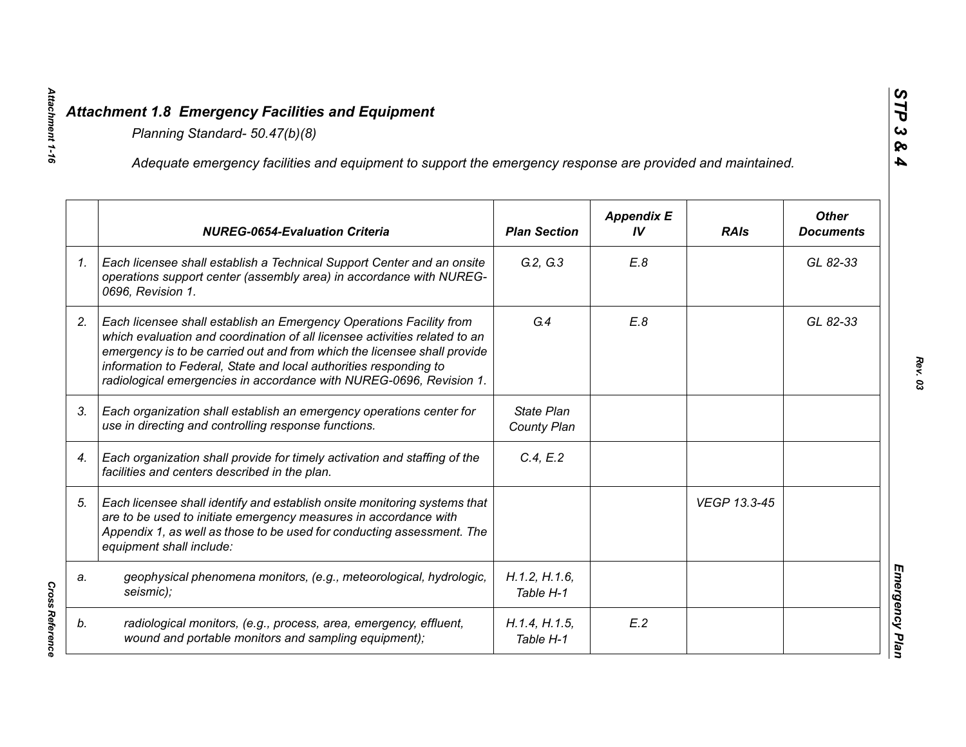Attachment 1-16

|    | Adequate emergency facilities and equipment to support the emergency response are provided and maintained.                                                                                                                                                                                                                                                                |                                  |                         |              |                                  |
|----|---------------------------------------------------------------------------------------------------------------------------------------------------------------------------------------------------------------------------------------------------------------------------------------------------------------------------------------------------------------------------|----------------------------------|-------------------------|--------------|----------------------------------|
|    | <b>NUREG-0654-Evaluation Criteria</b>                                                                                                                                                                                                                                                                                                                                     | <b>Plan Section</b>              | <b>Appendix E</b><br>IV | <b>RAIs</b>  | <b>Other</b><br><b>Documents</b> |
| 1. | Each licensee shall establish a Technical Support Center and an onsite<br>operations support center (assembly area) in accordance with NUREG-<br>0696, Revision 1.                                                                                                                                                                                                        | G.2, G.3                         | E.8                     |              | GL 82-33                         |
| 2. | Each licensee shall establish an Emergency Operations Facility from<br>which evaluation and coordination of all licensee activities related to an<br>emergency is to be carried out and from which the licensee shall provide<br>information to Federal, State and local authorities responding to<br>radiological emergencies in accordance with NUREG-0696, Revision 1. | G.4                              | E.8                     |              | GL 82-33                         |
| 3. | Each organization shall establish an emergency operations center for<br>use in directing and controlling response functions.                                                                                                                                                                                                                                              | <b>State Plan</b><br>County Plan |                         |              |                                  |
| 4. | Each organization shall provide for timely activation and staffing of the<br>facilities and centers described in the plan.                                                                                                                                                                                                                                                | C.4, E.2                         |                         |              |                                  |
| 5. | Each licensee shall identify and establish onsite monitoring systems that<br>are to be used to initiate emergency measures in accordance with<br>Appendix 1, as well as those to be used for conducting assessment. The<br>equipment shall include:                                                                                                                       |                                  |                         | VEGP 13.3-45 |                                  |
| a. | geophysical phenomena monitors, (e.g., meteorological, hydrologic,<br>seismic);                                                                                                                                                                                                                                                                                           | H.1.2, H.1.6,<br>Table H-1       |                         |              |                                  |
| b. | radiological monitors, (e.g., process, area, emergency, effluent,<br>wound and portable monitors and sampling equipment);                                                                                                                                                                                                                                                 | H.1.4, H.1.5,<br>Table H-1       | E.2                     |              |                                  |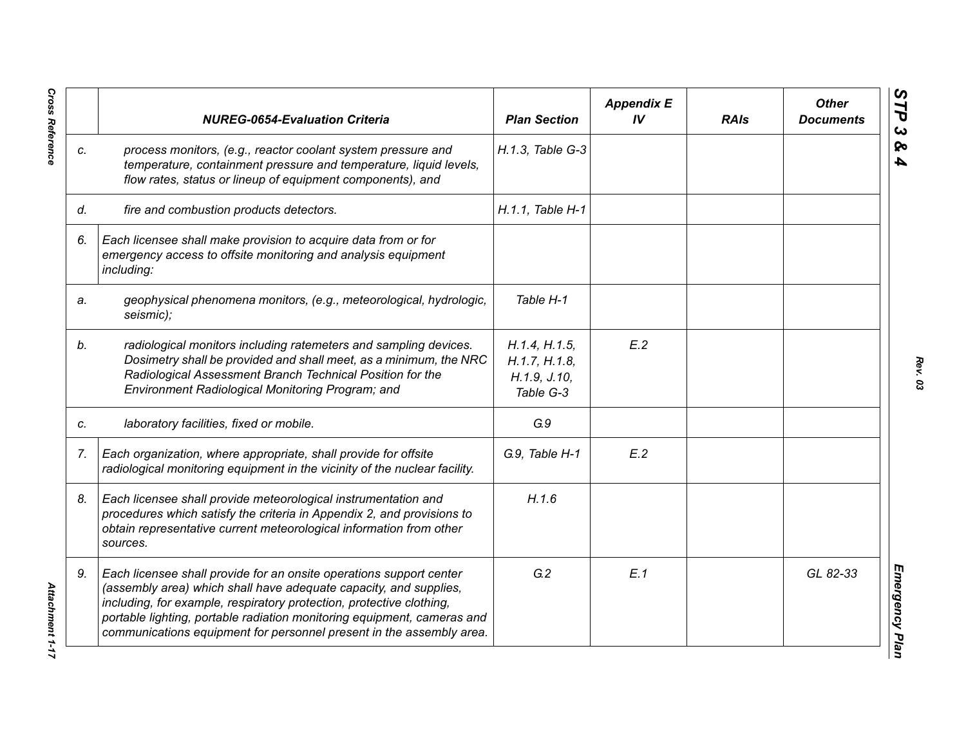|    | <b>NUREG-0654-Evaluation Criteria</b>                                                                                                                                                                                                                                                                                                                               | <b>Plan Section</b>                                         | <b>Appendix E</b><br>IV | <b>RAIs</b> | <b>Other</b><br><b>Documents</b> |
|----|---------------------------------------------------------------------------------------------------------------------------------------------------------------------------------------------------------------------------------------------------------------------------------------------------------------------------------------------------------------------|-------------------------------------------------------------|-------------------------|-------------|----------------------------------|
| C. | process monitors, (e.g., reactor coolant system pressure and<br>temperature, containment pressure and temperature, liquid levels,<br>flow rates, status or lineup of equipment components), and                                                                                                                                                                     | H.1.3, Table G-3                                            |                         |             |                                  |
| d. | fire and combustion products detectors.                                                                                                                                                                                                                                                                                                                             | H.1.1. Table H-1                                            |                         |             |                                  |
| 6. | Each licensee shall make provision to acquire data from or for<br>emergency access to offsite monitoring and analysis equipment<br>including:                                                                                                                                                                                                                       |                                                             |                         |             |                                  |
| a. | geophysical phenomena monitors, (e.g., meteorological, hydrologic,<br>seismic);                                                                                                                                                                                                                                                                                     | Table H-1                                                   |                         |             |                                  |
| b. | radiological monitors including ratemeters and sampling devices.<br>Dosimetry shall be provided and shall meet, as a minimum, the NRC<br>Radiological Assessment Branch Technical Position for the<br>Environment Radiological Monitoring Program; and                                                                                                              | H.1.4, H.1.5,<br>H.1.7, H.1.8,<br>H.1.9, J.10,<br>Table G-3 | E.2                     |             |                                  |
| C. | laboratory facilities, fixed or mobile.                                                                                                                                                                                                                                                                                                                             | G.9                                                         |                         |             |                                  |
| 7. | Each organization, where appropriate, shall provide for offsite<br>radiological monitoring equipment in the vicinity of the nuclear facility.                                                                                                                                                                                                                       | G.9, Table H-1                                              | E.2                     |             |                                  |
| 8. | Each licensee shall provide meteorological instrumentation and<br>procedures which satisfy the criteria in Appendix 2, and provisions to<br>obtain representative current meteorological information from other<br>sources.                                                                                                                                         | H.1.6                                                       |                         |             |                                  |
| 9. | Each licensee shall provide for an onsite operations support center<br>(assembly area) which shall have adequate capacity, and supplies,<br>including, for example, respiratory protection, protective clothing,<br>portable lighting, portable radiation monitoring equipment, cameras and<br>communications equipment for personnel present in the assembly area. | G.2                                                         | E.1                     |             | GL 82-33                         |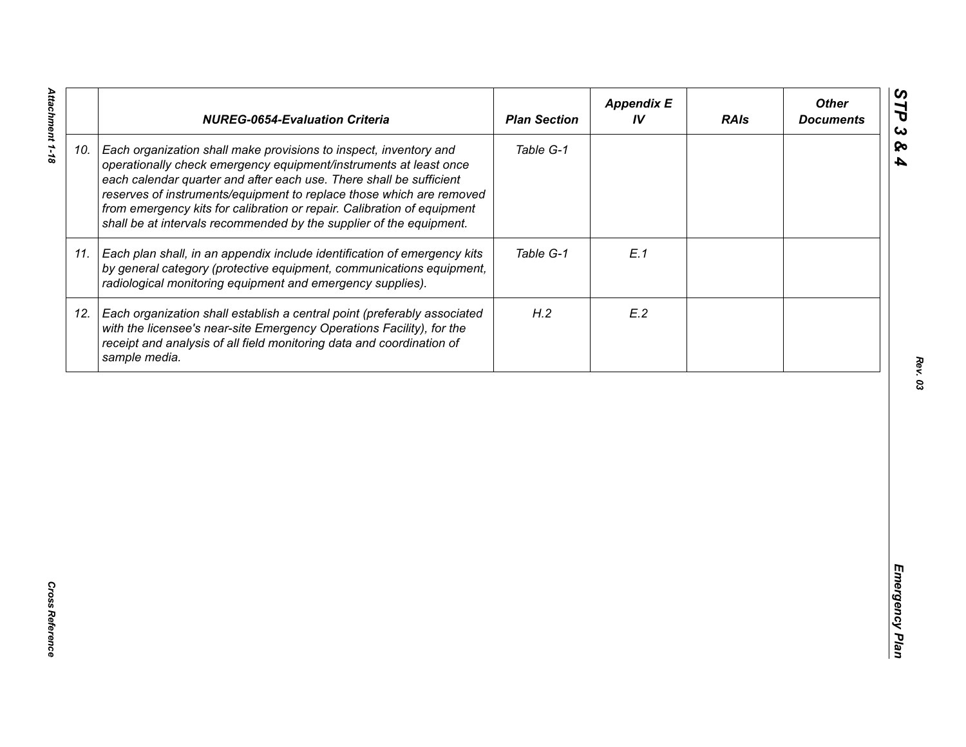|     | <b>NUREG-0654-Evaluation Criteria</b>                                                                                                                                                                                                                                                                                                                                                                                                   | <b>Plan Section</b> | <b>Appendix E</b><br>IV | <b>RAIs</b> | <b>Other</b><br><b>Documents</b> |
|-----|-----------------------------------------------------------------------------------------------------------------------------------------------------------------------------------------------------------------------------------------------------------------------------------------------------------------------------------------------------------------------------------------------------------------------------------------|---------------------|-------------------------|-------------|----------------------------------|
| 10. | Each organization shall make provisions to inspect, inventory and<br>operationally check emergency equipment/instruments at least once<br>each calendar quarter and after each use. There shall be sufficient<br>reserves of instruments/equipment to replace those which are removed<br>from emergency kits for calibration or repair. Calibration of equipment<br>shall be at intervals recommended by the supplier of the equipment. | Table G-1           |                         |             |                                  |
| 11. | Each plan shall, in an appendix include identification of emergency kits<br>by general category (protective equipment, communications equipment,<br>radiological monitoring equipment and emergency supplies).                                                                                                                                                                                                                          | Table G-1           | E.1                     |             |                                  |
| 12. | Each organization shall establish a central point (preferably associated<br>with the licensee's near-site Emergency Operations Facility), for the<br>receipt and analysis of all field monitoring data and coordination of<br>sample media.                                                                                                                                                                                             | H.2                 | E.2                     |             |                                  |
|     |                                                                                                                                                                                                                                                                                                                                                                                                                                         |                     |                         |             |                                  |
|     |                                                                                                                                                                                                                                                                                                                                                                                                                                         |                     |                         |             |                                  |
|     |                                                                                                                                                                                                                                                                                                                                                                                                                                         |                     |                         |             |                                  |
|     |                                                                                                                                                                                                                                                                                                                                                                                                                                         |                     |                         |             |                                  |
|     |                                                                                                                                                                                                                                                                                                                                                                                                                                         |                     |                         |             |                                  |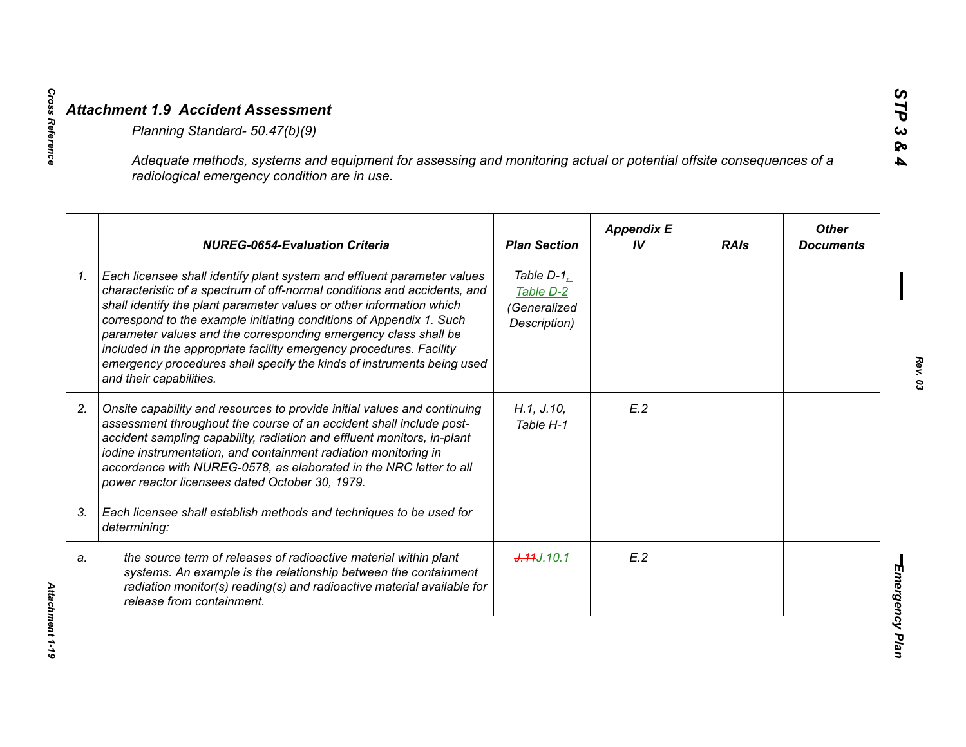|    | Adequate methods, systems and equipment for assessing and monitoring actual or potential offsite consequences of a<br>radiological emergency condition are in use.                                                                                                                                                                                                                                                                                                                                                                                |                                                                       |                         |             |                                  |
|----|---------------------------------------------------------------------------------------------------------------------------------------------------------------------------------------------------------------------------------------------------------------------------------------------------------------------------------------------------------------------------------------------------------------------------------------------------------------------------------------------------------------------------------------------------|-----------------------------------------------------------------------|-------------------------|-------------|----------------------------------|
|    | <b>NUREG-0654-Evaluation Criteria</b>                                                                                                                                                                                                                                                                                                                                                                                                                                                                                                             | <b>Plan Section</b>                                                   | <b>Appendix E</b><br>IV | <b>RAIs</b> | <b>Other</b><br><b>Documents</b> |
| 1. | Each licensee shall identify plant system and effluent parameter values<br>characteristic of a spectrum of off-normal conditions and accidents, and<br>shall identify the plant parameter values or other information which<br>correspond to the example initiating conditions of Appendix 1. Such<br>parameter values and the corresponding emergency class shall be<br>included in the appropriate facility emergency procedures. Facility<br>emergency procedures shall specify the kinds of instruments being used<br>and their capabilities. | Table $D-1$ <sub>.</sub><br>Table D-2<br>(Generalized<br>Description) |                         |             |                                  |
| 2. | Onsite capability and resources to provide initial values and continuing<br>assessment throughout the course of an accident shall include post-<br>accident sampling capability, radiation and effluent monitors, in-plant<br>iodine instrumentation, and containment radiation monitoring in<br>accordance with NUREG-0578, as elaborated in the NRC letter to all<br>power reactor licensees dated October 30, 1979.                                                                                                                            | H.1, J.10,<br>Table H-1                                               | E.2                     |             |                                  |
| 3. | Each licensee shall establish methods and techniques to be used for<br>determining:                                                                                                                                                                                                                                                                                                                                                                                                                                                               |                                                                       |                         |             |                                  |
| a. | the source term of releases of radioactive material within plant<br>systems. An example is the relationship between the containment<br>radiation monitor(s) reading(s) and radioactive material available for<br>release from containment.                                                                                                                                                                                                                                                                                                        | J.44J.10.1                                                            | E.2                     |             |                                  |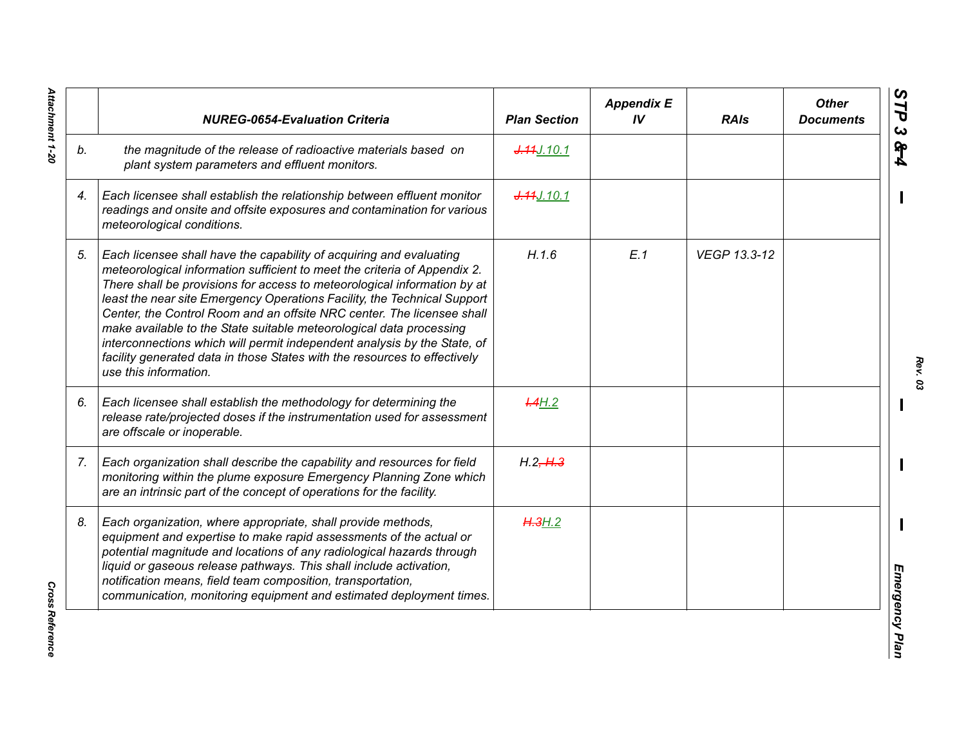|    | <b>NUREG-0654-Evaluation Criteria</b>                                                                                                                                                                                                                                                                                                                                                                                                                                                                                                                                                                                                       | <b>Plan Section</b> | <b>Appendix E</b><br>IV | <b>RAIs</b>  | <b>Other</b><br><b>Documents</b> |
|----|---------------------------------------------------------------------------------------------------------------------------------------------------------------------------------------------------------------------------------------------------------------------------------------------------------------------------------------------------------------------------------------------------------------------------------------------------------------------------------------------------------------------------------------------------------------------------------------------------------------------------------------------|---------------------|-------------------------|--------------|----------------------------------|
| b. | the magnitude of the release of radioactive materials based on<br>plant system parameters and effluent monitors.                                                                                                                                                                                                                                                                                                                                                                                                                                                                                                                            | J.44J.10.1          |                         |              |                                  |
| 4. | Each licensee shall establish the relationship between effluent monitor<br>readings and onsite and offsite exposures and contamination for various<br>meteorological conditions.                                                                                                                                                                                                                                                                                                                                                                                                                                                            | J.44J.10.1          |                         |              |                                  |
| 5. | Each licensee shall have the capability of acquiring and evaluating<br>meteorological information sufficient to meet the criteria of Appendix 2.<br>There shall be provisions for access to meteorological information by at<br>least the near site Emergency Operations Facility, the Technical Support<br>Center, the Control Room and an offsite NRC center. The licensee shall<br>make available to the State suitable meteorological data processing<br>interconnections which will permit independent analysis by the State, of<br>facility generated data in those States with the resources to effectively<br>use this information. | H.1.6               | E.1                     | VEGP 13.3-12 |                                  |
| 6. | Each licensee shall establish the methodology for determining the<br>release rate/projected doses if the instrumentation used for assessment<br>are offscale or inoperable.                                                                                                                                                                                                                                                                                                                                                                                                                                                                 | H.4H.2              |                         |              |                                  |
| 7. | Each organization shall describe the capability and resources for field<br>monitoring within the plume exposure Emergency Planning Zone which<br>are an intrinsic part of the concept of operations for the facility.                                                                                                                                                                                                                                                                                                                                                                                                                       | H.2, H.3            |                         |              |                                  |
| 8. | Each organization, where appropriate, shall provide methods,<br>equipment and expertise to make rapid assessments of the actual or<br>potential magnitude and locations of any radiological hazards through<br>liquid or gaseous release pathways. This shall include activation,<br>notification means, field team composition, transportation,<br>communication, monitoring equipment and estimated deployment times.                                                                                                                                                                                                                     | H.3H.2              |                         |              |                                  |

Attachment 1-20 *Attachment 1-20*

*Rev. 03*

**Cross Reference** *Cross Reference*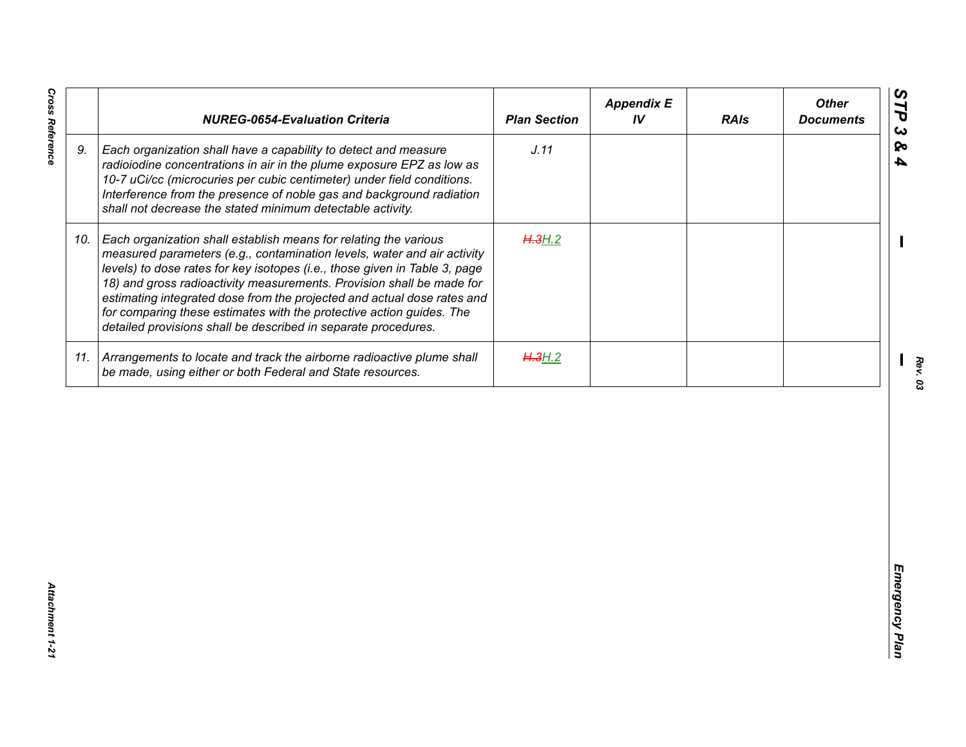| J.11<br>9.<br>Each organization shall have a capability to detect and measure<br>radioiodine concentrations in air in the plume exposure EPZ as low as<br>10-7 uCi/cc (microcuries per cubic centimeter) under field conditions.<br>Interference from the presence of noble gas and background radiation<br>shall not decrease the stated minimum detectable activity.<br>10. Each organization shall establish means for relating the various<br>H.3H.2<br>measured parameters (e.g., contamination levels, water and air activity<br>levels) to dose rates for key isotopes (i.e., those given in Table 3, page<br>18) and gross radioactivity measurements. Provision shall be made for<br>estimating integrated dose from the projected and actual dose rates and<br>for comparing these estimates with the protective action guides. The<br>detailed provisions shall be described in separate procedures. | H.3H.2 | <b>NUREG-0654-Evaluation Criteria</b>                                     | <b>Plan Section</b> | <b>Appendix E</b><br>IV | <b>RAIs</b> | <b>Other</b><br><b>Documents</b> |
|-----------------------------------------------------------------------------------------------------------------------------------------------------------------------------------------------------------------------------------------------------------------------------------------------------------------------------------------------------------------------------------------------------------------------------------------------------------------------------------------------------------------------------------------------------------------------------------------------------------------------------------------------------------------------------------------------------------------------------------------------------------------------------------------------------------------------------------------------------------------------------------------------------------------|--------|---------------------------------------------------------------------------|---------------------|-------------------------|-------------|----------------------------------|
|                                                                                                                                                                                                                                                                                                                                                                                                                                                                                                                                                                                                                                                                                                                                                                                                                                                                                                                 |        |                                                                           |                     |                         |             |                                  |
|                                                                                                                                                                                                                                                                                                                                                                                                                                                                                                                                                                                                                                                                                                                                                                                                                                                                                                                 |        |                                                                           |                     |                         |             |                                  |
| be made, using either or both Federal and State resources.                                                                                                                                                                                                                                                                                                                                                                                                                                                                                                                                                                                                                                                                                                                                                                                                                                                      |        | 11. Arrangements to locate and track the airborne radioactive plume shall |                     |                         |             |                                  |
|                                                                                                                                                                                                                                                                                                                                                                                                                                                                                                                                                                                                                                                                                                                                                                                                                                                                                                                 |        |                                                                           |                     |                         |             |                                  |

*Cross Reference Attachment 1-21* Attachment 1-21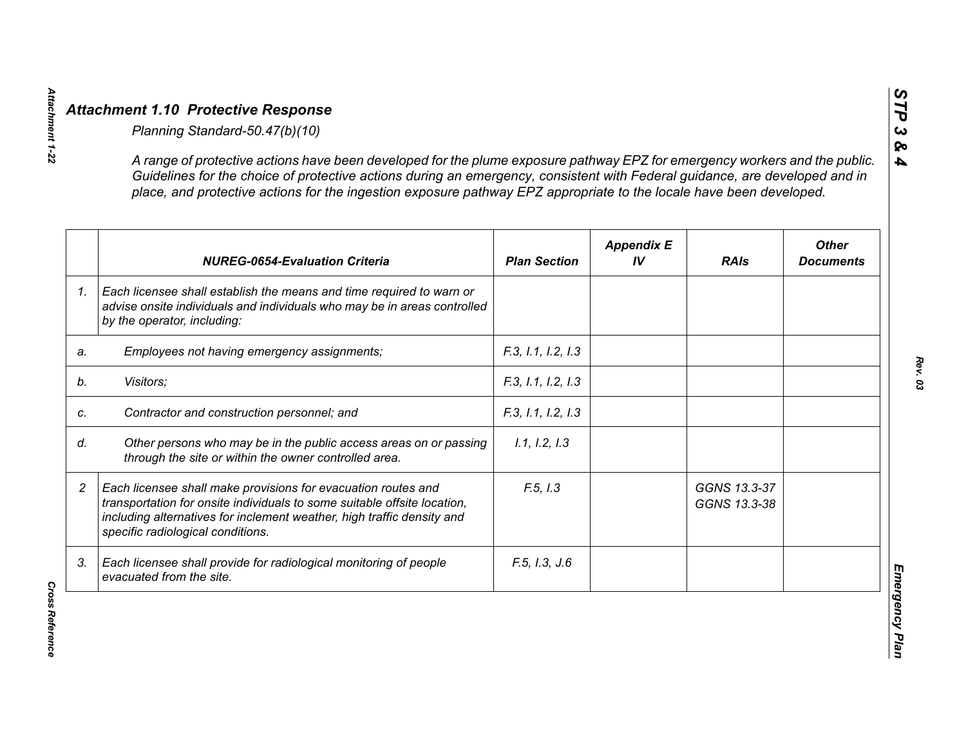|                | A range of protective actions have been developed for the plume exposure pathway EPZ for emergency workers and the public.<br>Guidelines for the choice of protective actions during an emergency, consistent with Federal guidance, are developed and in<br>place, and protective actions for the ingestion exposure pathway EPZ appropriate to the locale have been developed. |                     |                         |                              |                                  |
|----------------|----------------------------------------------------------------------------------------------------------------------------------------------------------------------------------------------------------------------------------------------------------------------------------------------------------------------------------------------------------------------------------|---------------------|-------------------------|------------------------------|----------------------------------|
|                | <b>NUREG-0654-Evaluation Criteria</b>                                                                                                                                                                                                                                                                                                                                            | <b>Plan Section</b> | <b>Appendix E</b><br>IV | <b>RAIs</b>                  | <b>Other</b><br><b>Documents</b> |
| 1 <sub>1</sub> | Each licensee shall establish the means and time required to warn or<br>advise onsite individuals and individuals who may be in areas controlled<br>by the operator, including:                                                                                                                                                                                                  |                     |                         |                              |                                  |
| a.             | Employees not having emergency assignments;                                                                                                                                                                                                                                                                                                                                      | F.3, 1.1, 1.2, 1.3  |                         |                              |                                  |
|                | Visitors;                                                                                                                                                                                                                                                                                                                                                                        | F.3, 1.1, 1.2, 1.3  |                         |                              |                                  |
|                | Contractor and construction personnel; and                                                                                                                                                                                                                                                                                                                                       | F.3, 1.1, 1.2, 1.3  |                         |                              |                                  |
|                | Other persons who may be in the public access areas on or passing<br>through the site or within the owner controlled area.                                                                                                                                                                                                                                                       | 1.1, 1.2, 1.3       |                         |                              |                                  |
|                | Each licensee shall make provisions for evacuation routes and<br>transportation for onsite individuals to some suitable offsite location,<br>including alternatives for inclement weather, high traffic density and<br>specific radiological conditions.                                                                                                                         | F.5, I.3            |                         | GGNS 13.3-37<br>GGNS 13.3-38 |                                  |
| 3.             | Each licensee shall provide for radiological monitoring of people<br>evacuated from the site.                                                                                                                                                                                                                                                                                    | F.5, I.3, J.6       |                         |                              |                                  |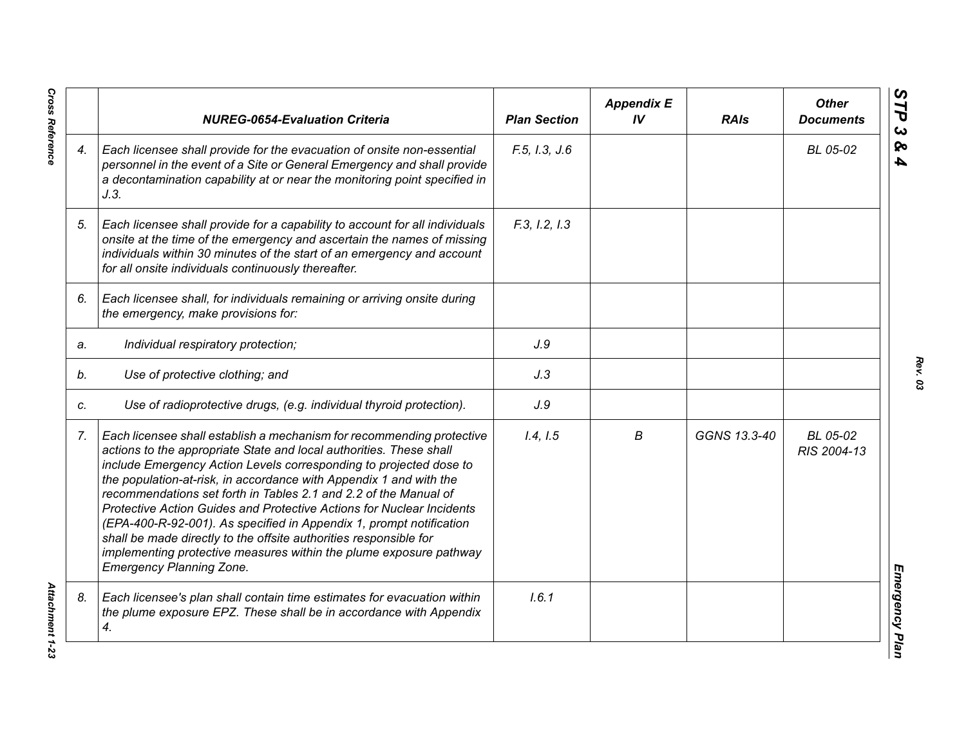|    | <b>NUREG-0654-Evaluation Criteria</b>                                                                                                                                                                                                                                                                                                                                                                                                                                                                                                                                                                                                                                                      | <b>Plan Section</b> | <b>Appendix E</b><br>IV | <b>RAIs</b>  | <b>Other</b><br><b>Documents</b> |
|----|--------------------------------------------------------------------------------------------------------------------------------------------------------------------------------------------------------------------------------------------------------------------------------------------------------------------------------------------------------------------------------------------------------------------------------------------------------------------------------------------------------------------------------------------------------------------------------------------------------------------------------------------------------------------------------------------|---------------------|-------------------------|--------------|----------------------------------|
| 4. | Each licensee shall provide for the evacuation of onsite non-essential<br>personnel in the event of a Site or General Emergency and shall provide<br>a decontamination capability at or near the monitoring point specified in<br>J.3.                                                                                                                                                                                                                                                                                                                                                                                                                                                     | F.5, I.3, J.6       |                         |              | BL 05-02                         |
| 5. | Each licensee shall provide for a capability to account for all individuals<br>onsite at the time of the emergency and ascertain the names of missing<br>individuals within 30 minutes of the start of an emergency and account<br>for all onsite individuals continuously thereafter.                                                                                                                                                                                                                                                                                                                                                                                                     | F.3, I.2, I.3       |                         |              |                                  |
| 6. | Each licensee shall, for individuals remaining or arriving onsite during<br>the emergency, make provisions for:                                                                                                                                                                                                                                                                                                                                                                                                                                                                                                                                                                            |                     |                         |              |                                  |
| a. | Individual respiratory protection;                                                                                                                                                                                                                                                                                                                                                                                                                                                                                                                                                                                                                                                         | J.9                 |                         |              |                                  |
| b. | Use of protective clothing; and                                                                                                                                                                                                                                                                                                                                                                                                                                                                                                                                                                                                                                                            | J.3                 |                         |              |                                  |
| C. | Use of radioprotective drugs, (e.g. individual thyroid protection).                                                                                                                                                                                                                                                                                                                                                                                                                                                                                                                                                                                                                        | J.9                 |                         |              |                                  |
| 7. | Each licensee shall establish a mechanism for recommending protective<br>actions to the appropriate State and local authorities. These shall<br>include Emergency Action Levels corresponding to projected dose to<br>the population-at-risk, in accordance with Appendix 1 and with the<br>recommendations set forth in Tables 2.1 and 2.2 of the Manual of<br>Protective Action Guides and Protective Actions for Nuclear Incidents<br>(EPA-400-R-92-001). As specified in Appendix 1, prompt notification<br>shall be made directly to the offsite authorities responsible for<br>implementing protective measures within the plume exposure pathway<br><b>Emergency Planning Zone.</b> | 1.4, 1.5            | В                       | GGNS 13.3-40 | BL 05-02<br>RIS 2004-13          |
| 8. | Each licensee's plan shall contain time estimates for evacuation within<br>the plume exposure EPZ. These shall be in accordance with Appendix<br>4.                                                                                                                                                                                                                                                                                                                                                                                                                                                                                                                                        | 1.6.1               |                         |              |                                  |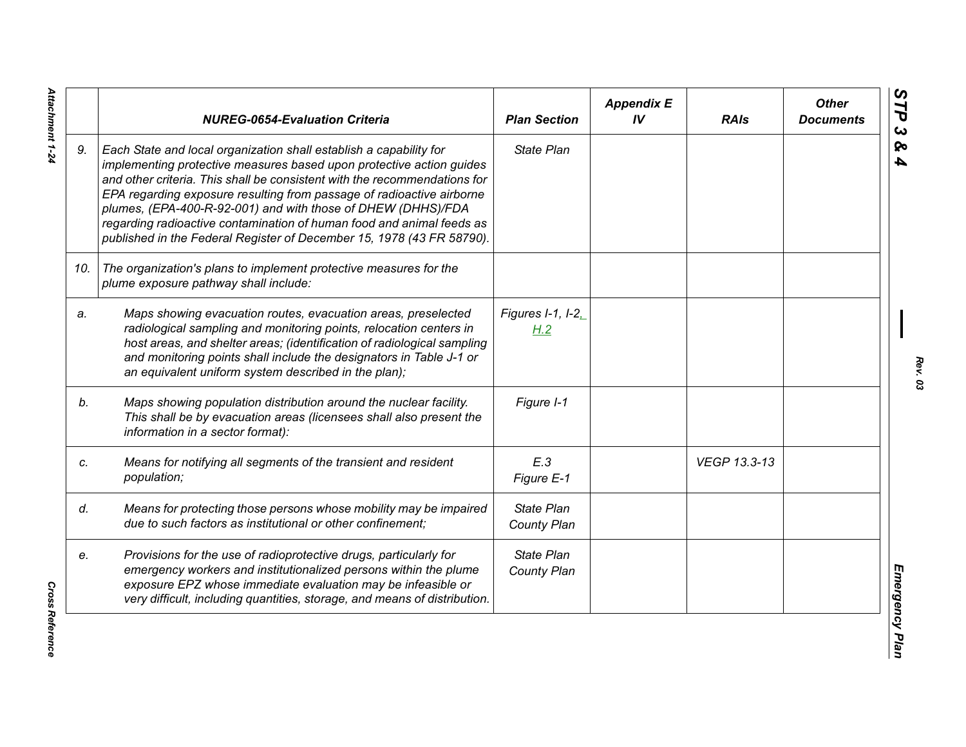|     | <b>NUREG-0654-Evaluation Criteria</b>                                                                                                                                                                                                                                                                                                                                                                                                                                                                              | <b>Plan Section</b>              | <b>Appendix E</b><br>IV | <b>RAIs</b>  | <b>Other</b><br><b>Documents</b> |
|-----|--------------------------------------------------------------------------------------------------------------------------------------------------------------------------------------------------------------------------------------------------------------------------------------------------------------------------------------------------------------------------------------------------------------------------------------------------------------------------------------------------------------------|----------------------------------|-------------------------|--------------|----------------------------------|
| 9.  | Each State and local organization shall establish a capability for<br>implementing protective measures based upon protective action guides<br>and other criteria. This shall be consistent with the recommendations for<br>EPA regarding exposure resulting from passage of radioactive airborne<br>plumes, (EPA-400-R-92-001) and with those of DHEW (DHHS)/FDA<br>regarding radioactive contamination of human food and animal feeds as<br>published in the Federal Register of December 15, 1978 (43 FR 58790). | <b>State Plan</b>                |                         |              |                                  |
| 10. | The organization's plans to implement protective measures for the<br>plume exposure pathway shall include:                                                                                                                                                                                                                                                                                                                                                                                                         |                                  |                         |              |                                  |
| a.  | Maps showing evacuation routes, evacuation areas, preselected<br>radiological sampling and monitoring points, relocation centers in<br>host areas, and shelter areas; (identification of radiological sampling<br>and monitoring points shall include the designators in Table J-1 or<br>an equivalent uniform system described in the plan);                                                                                                                                                                      | Figures I-1, I-2,<br>H.2         |                         |              |                                  |
| b.  | Maps showing population distribution around the nuclear facility.<br>This shall be by evacuation areas (licensees shall also present the<br>information in a sector format):                                                                                                                                                                                                                                                                                                                                       | Figure I-1                       |                         |              |                                  |
| c.  | Means for notifying all segments of the transient and resident<br>population;                                                                                                                                                                                                                                                                                                                                                                                                                                      | E.3<br>Figure E-1                |                         | VEGP 13.3-13 |                                  |
| d.  | Means for protecting those persons whose mobility may be impaired<br>due to such factors as institutional or other confinement;                                                                                                                                                                                                                                                                                                                                                                                    | <b>State Plan</b><br>County Plan |                         |              |                                  |
| e.  | Provisions for the use of radioprotective drugs, particularly for<br>emergency workers and institutionalized persons within the plume<br>exposure EPZ whose immediate evaluation may be infeasible or<br>very difficult, including quantities, storage, and means of distribution.                                                                                                                                                                                                                                 | <b>State Plan</b><br>County Plan |                         |              |                                  |

**Cross Reference** *Cross Reference*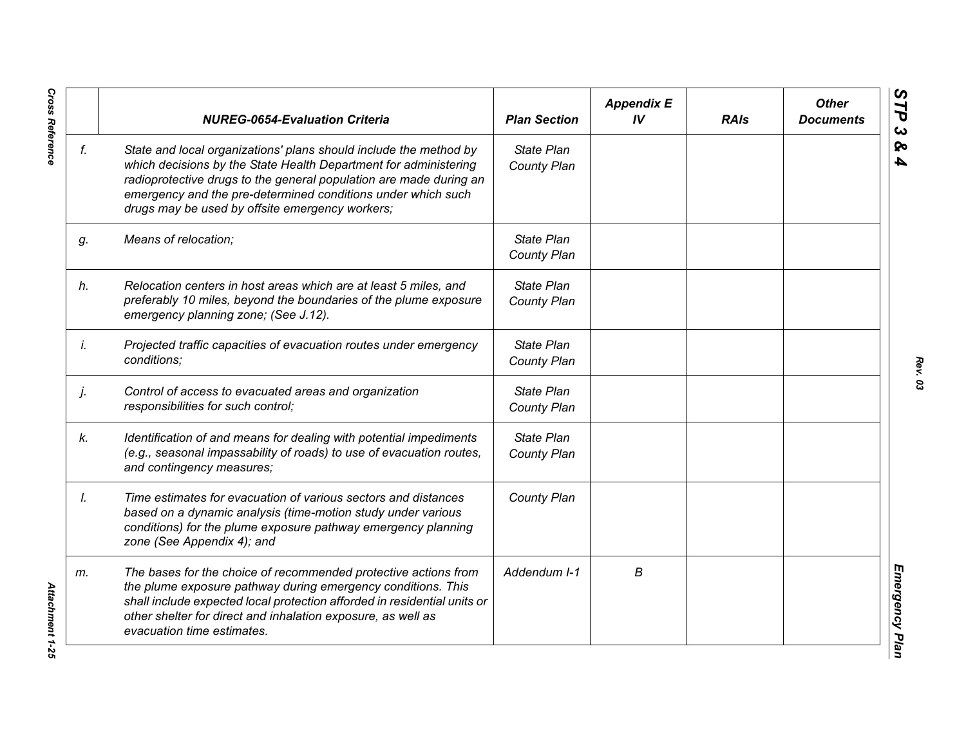|    | <b>NUREG-0654-Evaluation Criteria</b>                                                                                                                                                                                                                                                                                          | <b>Plan Section</b>       | <b>Appendix E</b><br>IV | <b>RAIs</b> | <b>Other</b><br><b>Documents</b> |
|----|--------------------------------------------------------------------------------------------------------------------------------------------------------------------------------------------------------------------------------------------------------------------------------------------------------------------------------|---------------------------|-------------------------|-------------|----------------------------------|
| f. | State and local organizations' plans should include the method by<br>which decisions by the State Health Department for administering<br>radioprotective drugs to the general population are made during an<br>emergency and the pre-determined conditions under which such<br>drugs may be used by offsite emergency workers; | State Plan<br>County Plan |                         |             |                                  |
| g. | Means of relocation;                                                                                                                                                                                                                                                                                                           | State Plan<br>County Plan |                         |             |                                  |
| h. | Relocation centers in host areas which are at least 5 miles, and<br>preferably 10 miles, beyond the boundaries of the plume exposure<br>emergency planning zone; (See J.12).                                                                                                                                                   | State Plan<br>County Plan |                         |             |                                  |
| İ. | Projected traffic capacities of evacuation routes under emergency<br>conditions;                                                                                                                                                                                                                                               | State Plan<br>County Plan |                         |             |                                  |
| j. | Control of access to evacuated areas and organization<br>responsibilities for such control;                                                                                                                                                                                                                                    | State Plan<br>County Plan |                         |             |                                  |
| k. | Identification of and means for dealing with potential impediments<br>(e.g., seasonal impassability of roads) to use of evacuation routes,<br>and contingency measures;                                                                                                                                                        | State Plan<br>County Plan |                         |             |                                  |
| Ι. | Time estimates for evacuation of various sectors and distances<br>based on a dynamic analysis (time-motion study under various<br>conditions) for the plume exposure pathway emergency planning<br>zone (See Appendix 4); and                                                                                                  | County Plan               |                         |             |                                  |
| m. | The bases for the choice of recommended protective actions from<br>the plume exposure pathway during emergency conditions. This<br>shall include expected local protection afforded in residential units or<br>other shelter for direct and inhalation exposure, as well as<br>evacuation time estimates.                      | Addendum I-1              | В                       |             |                                  |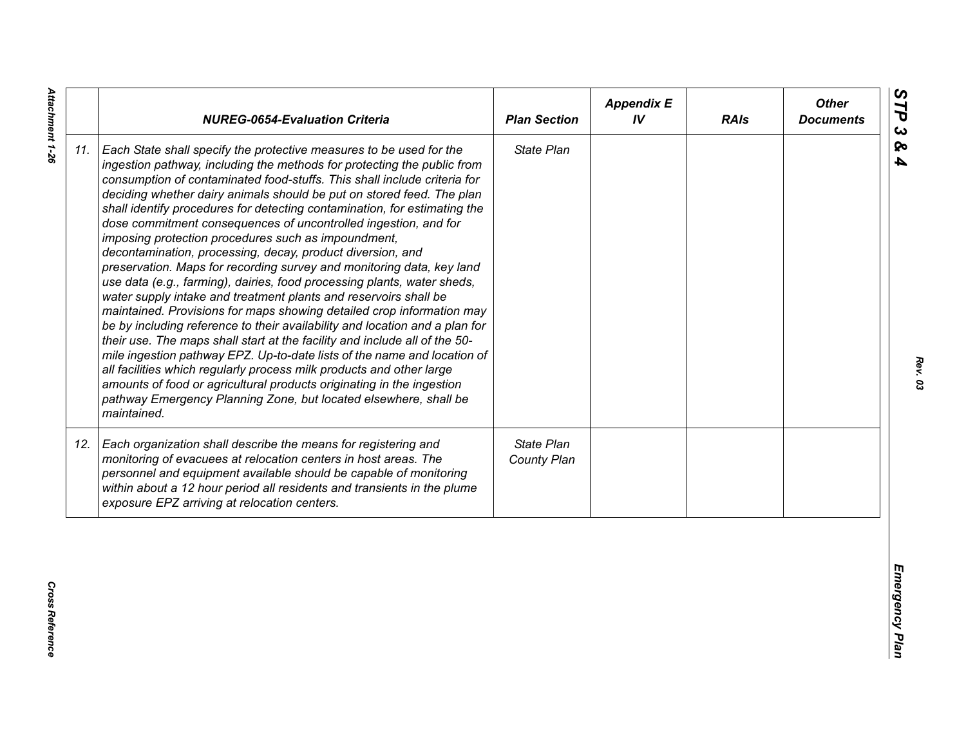| State Plan<br>Each State shall specify the protective measures to be used for the<br>ingestion pathway, including the methods for protecting the public from<br>consumption of contaminated food-stuffs. This shall include criteria for<br>deciding whether dairy animals should be put on stored feed. The plan<br>shall identify procedures for detecting contamination, for estimating the<br>dose commitment consequences of uncontrolled ingestion, and for<br>imposing protection procedures such as impoundment,<br>decontamination, processing, decay, product diversion, and<br>preservation. Maps for recording survey and monitoring data, key land<br>use data (e.g., farming), dairies, food processing plants, water sheds,<br>water supply intake and treatment plants and reservoirs shall be<br>maintained. Provisions for maps showing detailed crop information may<br>be by including reference to their availability and location and a plan for<br>their use. The maps shall start at the facility and include all of the 50-<br>mile ingestion pathway EPZ. Up-to-date lists of the name and location of<br>all facilities which regularly process milk products and other large<br>amounts of food or agricultural products originating in the ingestion<br>pathway Emergency Planning Zone, but located elsewhere, shall be<br>maintained.<br>State Plan<br>Each organization shall describe the means for registering and<br>monitoring of evacuees at relocation centers in host areas. The<br>County Plan<br>personnel and equipment available should be capable of monitoring<br>within about a 12 hour period all residents and transients in the plume<br>exposure EPZ arriving at relocation centers. |     | <b>NUREG-0654-Evaluation Criteria</b> | <b>Plan Section</b> | <b>Appendix E</b><br>IV | <b>RAIs</b> | <b>Other</b><br><b>Documents</b> |
|----------------------------------------------------------------------------------------------------------------------------------------------------------------------------------------------------------------------------------------------------------------------------------------------------------------------------------------------------------------------------------------------------------------------------------------------------------------------------------------------------------------------------------------------------------------------------------------------------------------------------------------------------------------------------------------------------------------------------------------------------------------------------------------------------------------------------------------------------------------------------------------------------------------------------------------------------------------------------------------------------------------------------------------------------------------------------------------------------------------------------------------------------------------------------------------------------------------------------------------------------------------------------------------------------------------------------------------------------------------------------------------------------------------------------------------------------------------------------------------------------------------------------------------------------------------------------------------------------------------------------------------------------------------------------------------------------------------------------------------|-----|---------------------------------------|---------------------|-------------------------|-------------|----------------------------------|
|                                                                                                                                                                                                                                                                                                                                                                                                                                                                                                                                                                                                                                                                                                                                                                                                                                                                                                                                                                                                                                                                                                                                                                                                                                                                                                                                                                                                                                                                                                                                                                                                                                                                                                                                        | 11. |                                       |                     |                         |             |                                  |
|                                                                                                                                                                                                                                                                                                                                                                                                                                                                                                                                                                                                                                                                                                                                                                                                                                                                                                                                                                                                                                                                                                                                                                                                                                                                                                                                                                                                                                                                                                                                                                                                                                                                                                                                        | 12. |                                       |                     |                         |             |                                  |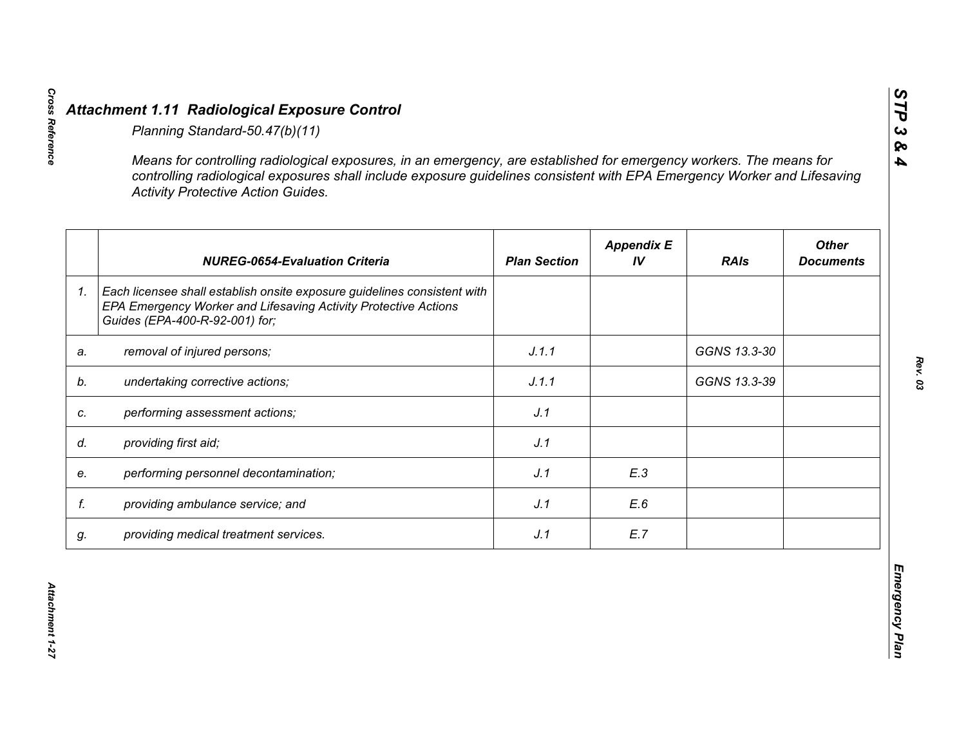|    | <b>Activity Protective Action Guides.</b>                                                                                                                                     |                     |                         |              |                                  |
|----|-------------------------------------------------------------------------------------------------------------------------------------------------------------------------------|---------------------|-------------------------|--------------|----------------------------------|
|    | <b>NUREG-0654-Evaluation Criteria</b>                                                                                                                                         | <b>Plan Section</b> | <b>Appendix E</b><br>IV | <b>RAIs</b>  | <b>Other</b><br><b>Documents</b> |
| 1. | Each licensee shall establish onsite exposure guidelines consistent with<br>EPA Emergency Worker and Lifesaving Activity Protective Actions<br>Guides (EPA-400-R-92-001) for; |                     |                         |              |                                  |
| a. | removal of injured persons;                                                                                                                                                   | J.1.1               |                         | GGNS 13.3-30 |                                  |
|    | undertaking corrective actions;                                                                                                                                               | J.1.1               |                         | GGNS 13.3-39 |                                  |
| C. | performing assessment actions;                                                                                                                                                | J.1                 |                         |              |                                  |
| d. | providing first aid;                                                                                                                                                          | J.1                 |                         |              |                                  |
| e. | performing personnel decontamination;                                                                                                                                         | J.1                 | E.3                     |              |                                  |
| f. | providing ambulance service; and                                                                                                                                              | J.1                 | E.6                     |              |                                  |
| g. | providing medical treatment services.                                                                                                                                         | J.1                 | E.7                     |              |                                  |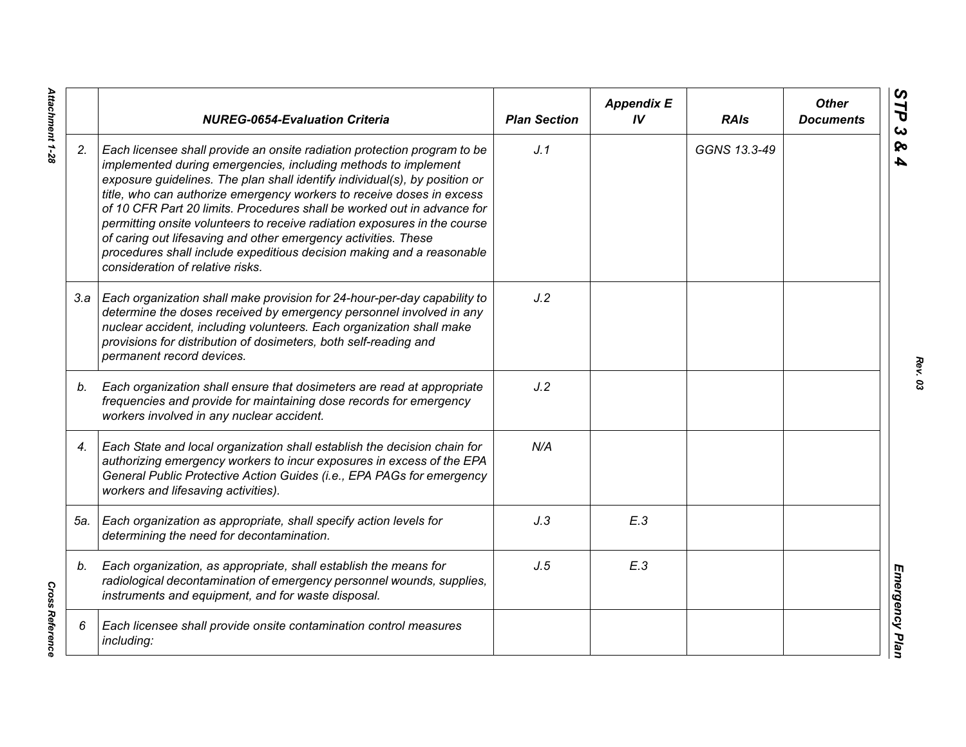|     | <b>NUREG-0654-Evaluation Criteria</b>                                                                                                                                                                                                                                                                                                                                                                                                                                                                                                                                                                                                    | <b>Plan Section</b> | <b>Appendix E</b><br>IV | <b>RAIs</b>  | <b>Other</b><br><b>Documents</b> |
|-----|------------------------------------------------------------------------------------------------------------------------------------------------------------------------------------------------------------------------------------------------------------------------------------------------------------------------------------------------------------------------------------------------------------------------------------------------------------------------------------------------------------------------------------------------------------------------------------------------------------------------------------------|---------------------|-------------------------|--------------|----------------------------------|
| 2.  | Each licensee shall provide an onsite radiation protection program to be<br>implemented during emergencies, including methods to implement<br>exposure guidelines. The plan shall identify individual(s), by position or<br>title, who can authorize emergency workers to receive doses in excess<br>of 10 CFR Part 20 limits. Procedures shall be worked out in advance for<br>permitting onsite volunteers to receive radiation exposures in the course<br>of caring out lifesaving and other emergency activities. These<br>procedures shall include expeditious decision making and a reasonable<br>consideration of relative risks. | J.1                 |                         | GGNS 13.3-49 |                                  |
|     | 3.a   Each organization shall make provision for 24-hour-per-day capability to<br>determine the doses received by emergency personnel involved in any<br>nuclear accident, including volunteers. Each organization shall make<br>provisions for distribution of dosimeters, both self-reading and<br>permanent record devices.                                                                                                                                                                                                                                                                                                           | J.2                 |                         |              |                                  |
| b.  | Each organization shall ensure that dosimeters are read at appropriate<br>frequencies and provide for maintaining dose records for emergency<br>workers involved in any nuclear accident.                                                                                                                                                                                                                                                                                                                                                                                                                                                | J.2                 |                         |              |                                  |
| 4.  | Each State and local organization shall establish the decision chain for<br>authorizing emergency workers to incur exposures in excess of the EPA<br>General Public Protective Action Guides (i.e., EPA PAGs for emergency<br>workers and lifesaving activities).                                                                                                                                                                                                                                                                                                                                                                        | N/A                 |                         |              |                                  |
| 5а. | Each organization as appropriate, shall specify action levels for<br>determining the need for decontamination.                                                                                                                                                                                                                                                                                                                                                                                                                                                                                                                           | J.3                 | E.3                     |              |                                  |
| b.  | Each organization, as appropriate, shall establish the means for<br>radiological decontamination of emergency personnel wounds, supplies,<br>instruments and equipment, and for waste disposal.                                                                                                                                                                                                                                                                                                                                                                                                                                          | J.5                 | E.3                     |              |                                  |
| 6   | Each licensee shall provide onsite contamination control measures<br>including:                                                                                                                                                                                                                                                                                                                                                                                                                                                                                                                                                          |                     |                         |              |                                  |

*Rev. 03*

Attachment 1-28 *Attachment 1-28*

**Cross Reference** *Cross Reference*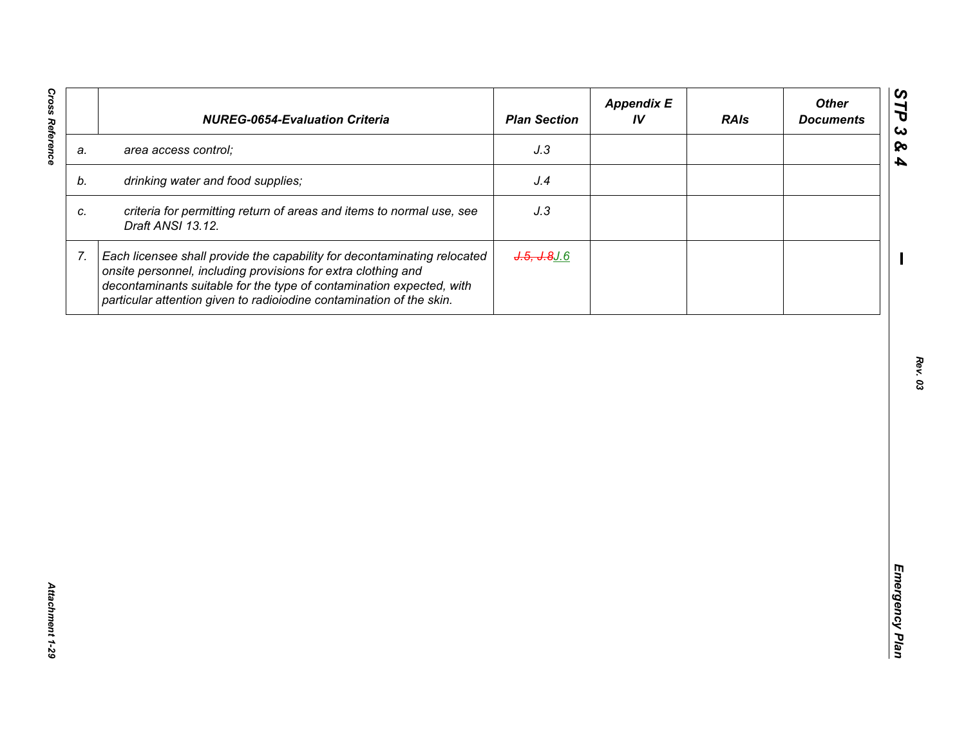| J.3<br>area access control;<br>a.<br>drinking water and food supplies;<br>J.4<br>b.<br>criteria for permitting return of areas and items to normal use, see<br>J.3<br>C.<br>Draft ANSI 13.12.<br>7.<br>Each licensee shall provide the capability for decontaminating relocated<br>$J.5, J.8$ $J.6$<br>onsite personnel, including provisions for extra clothing and<br>decontaminants suitable for the type of contamination expected, with | <b>NUREG-0654-Evaluation Criteria</b>                                | <b>Plan Section</b> | <b>Appendix E</b><br>IV | <b>RAIs</b> | <b>Other</b><br><b>Documents</b> |
|----------------------------------------------------------------------------------------------------------------------------------------------------------------------------------------------------------------------------------------------------------------------------------------------------------------------------------------------------------------------------------------------------------------------------------------------|----------------------------------------------------------------------|---------------------|-------------------------|-------------|----------------------------------|
|                                                                                                                                                                                                                                                                                                                                                                                                                                              |                                                                      |                     |                         |             |                                  |
|                                                                                                                                                                                                                                                                                                                                                                                                                                              |                                                                      |                     |                         |             |                                  |
|                                                                                                                                                                                                                                                                                                                                                                                                                                              |                                                                      |                     |                         |             |                                  |
|                                                                                                                                                                                                                                                                                                                                                                                                                                              | particular attention given to radioiodine contamination of the skin. |                     |                         |             |                                  |
|                                                                                                                                                                                                                                                                                                                                                                                                                                              |                                                                      |                     |                         |             |                                  |
|                                                                                                                                                                                                                                                                                                                                                                                                                                              |                                                                      |                     |                         |             |                                  |
|                                                                                                                                                                                                                                                                                                                                                                                                                                              |                                                                      |                     |                         |             |                                  |
|                                                                                                                                                                                                                                                                                                                                                                                                                                              |                                                                      |                     |                         |             |                                  |
|                                                                                                                                                                                                                                                                                                                                                                                                                                              |                                                                      |                     |                         |             |                                  |
|                                                                                                                                                                                                                                                                                                                                                                                                                                              |                                                                      |                     |                         |             |                                  |
|                                                                                                                                                                                                                                                                                                                                                                                                                                              |                                                                      |                     |                         |             |                                  |
|                                                                                                                                                                                                                                                                                                                                                                                                                                              |                                                                      |                     |                         |             |                                  |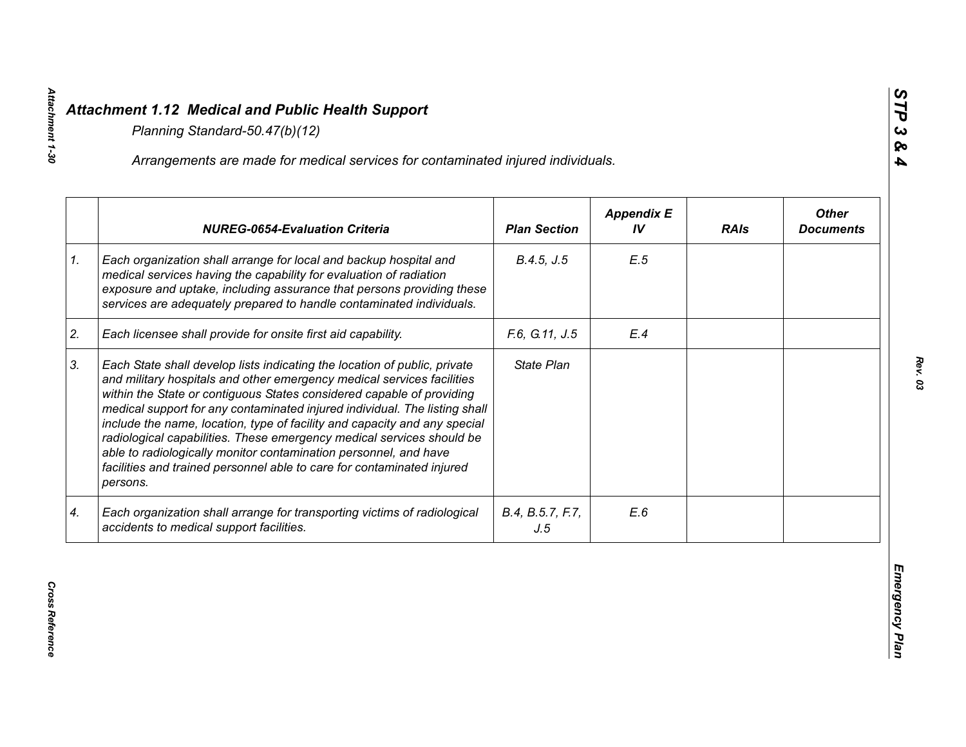|    | Arrangements are made for medical services for contaminated injured individuals.                                                                                                                                                                                                                                                                                                                                                                                                                                                                                                                                           |                         |                         |             |                                  |
|----|----------------------------------------------------------------------------------------------------------------------------------------------------------------------------------------------------------------------------------------------------------------------------------------------------------------------------------------------------------------------------------------------------------------------------------------------------------------------------------------------------------------------------------------------------------------------------------------------------------------------------|-------------------------|-------------------------|-------------|----------------------------------|
|    | <b>NUREG-0654-Evaluation Criteria</b>                                                                                                                                                                                                                                                                                                                                                                                                                                                                                                                                                                                      | <b>Plan Section</b>     | <b>Appendix E</b><br>IV | <b>RAIs</b> | <b>Other</b><br><b>Documents</b> |
| 1. | Each organization shall arrange for local and backup hospital and<br>medical services having the capability for evaluation of radiation<br>exposure and uptake, including assurance that persons providing these<br>services are adequately prepared to handle contaminated individuals.                                                                                                                                                                                                                                                                                                                                   | B.4.5, J.5              | E.5                     |             |                                  |
| 2. | Each licensee shall provide for onsite first aid capability.                                                                                                                                                                                                                                                                                                                                                                                                                                                                                                                                                               | F.6, G.11, J.5          | E.4                     |             |                                  |
| 3. | Each State shall develop lists indicating the location of public, private<br>and military hospitals and other emergency medical services facilities<br>within the State or contiguous States considered capable of providing<br>medical support for any contaminated injured individual. The listing shall<br>include the name, location, type of facility and capacity and any special<br>radiological capabilities. These emergency medical services should be<br>able to radiologically monitor contamination personnel, and have<br>facilities and trained personnel able to care for contaminated injured<br>persons. | State Plan              |                         |             |                                  |
| 4. | Each organization shall arrange for transporting victims of radiological<br>accidents to medical support facilities.                                                                                                                                                                                                                                                                                                                                                                                                                                                                                                       | B.4, B.5.7, F.7,<br>J.5 | E.6                     |             |                                  |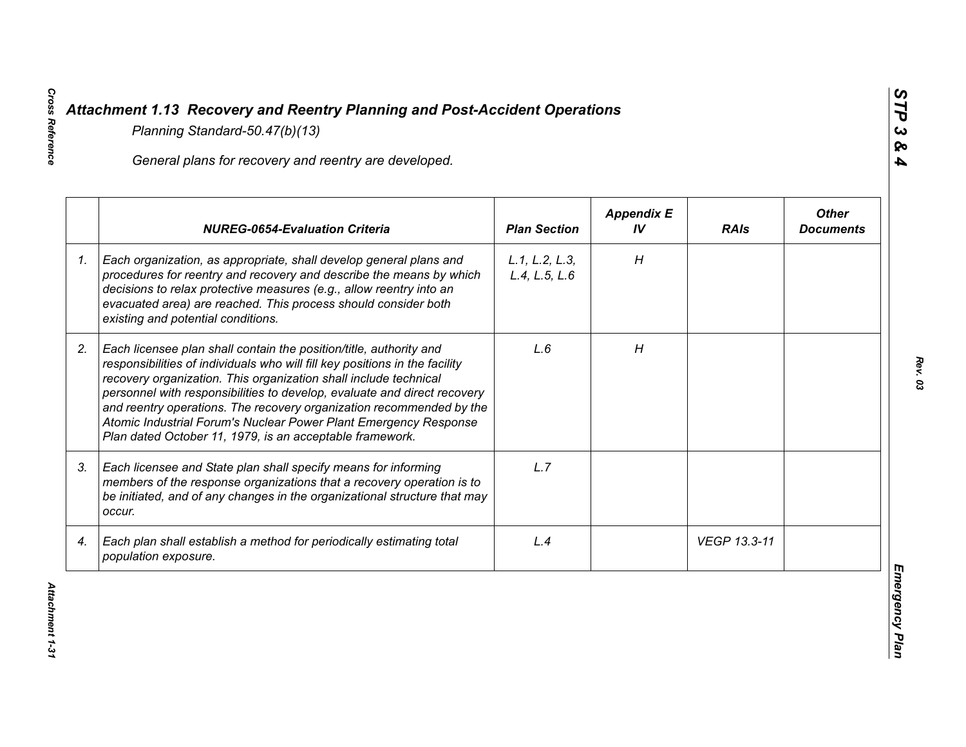|    | General plans for recovery and reentry are developed.                                                                                                                                                                                                                                                                                                                                                                                                                                                     |                                 |                         |              |                                  |
|----|-----------------------------------------------------------------------------------------------------------------------------------------------------------------------------------------------------------------------------------------------------------------------------------------------------------------------------------------------------------------------------------------------------------------------------------------------------------------------------------------------------------|---------------------------------|-------------------------|--------------|----------------------------------|
|    | <b>NUREG-0654-Evaluation Criteria</b>                                                                                                                                                                                                                                                                                                                                                                                                                                                                     | <b>Plan Section</b>             | <b>Appendix E</b><br>IV | <b>RAIs</b>  | <b>Other</b><br><b>Documents</b> |
| 1. | Each organization, as appropriate, shall develop general plans and<br>procedures for reentry and recovery and describe the means by which<br>decisions to relax protective measures (e.g., allow reentry into an<br>evacuated area) are reached. This process should consider both<br>existing and potential conditions.                                                                                                                                                                                  | L.1, L.2, L.3,<br>L.4, L.5, L.6 | H                       |              |                                  |
| 2. | Each licensee plan shall contain the position/title, authority and<br>responsibilities of individuals who will fill key positions in the facility<br>recovery organization. This organization shall include technical<br>personnel with responsibilities to develop, evaluate and direct recovery<br>and reentry operations. The recovery organization recommended by the<br>Atomic Industrial Forum's Nuclear Power Plant Emergency Response<br>Plan dated October 11, 1979, is an acceptable framework. | L.6                             | H                       |              |                                  |
| 3. | Each licensee and State plan shall specify means for informing<br>members of the response organizations that a recovery operation is to<br>be initiated, and of any changes in the organizational structure that may<br>occur.                                                                                                                                                                                                                                                                            | L.7                             |                         |              |                                  |
| 4. | Each plan shall establish a method for periodically estimating total<br>population exposure.                                                                                                                                                                                                                                                                                                                                                                                                              | L.4                             |                         | VEGP 13.3-11 |                                  |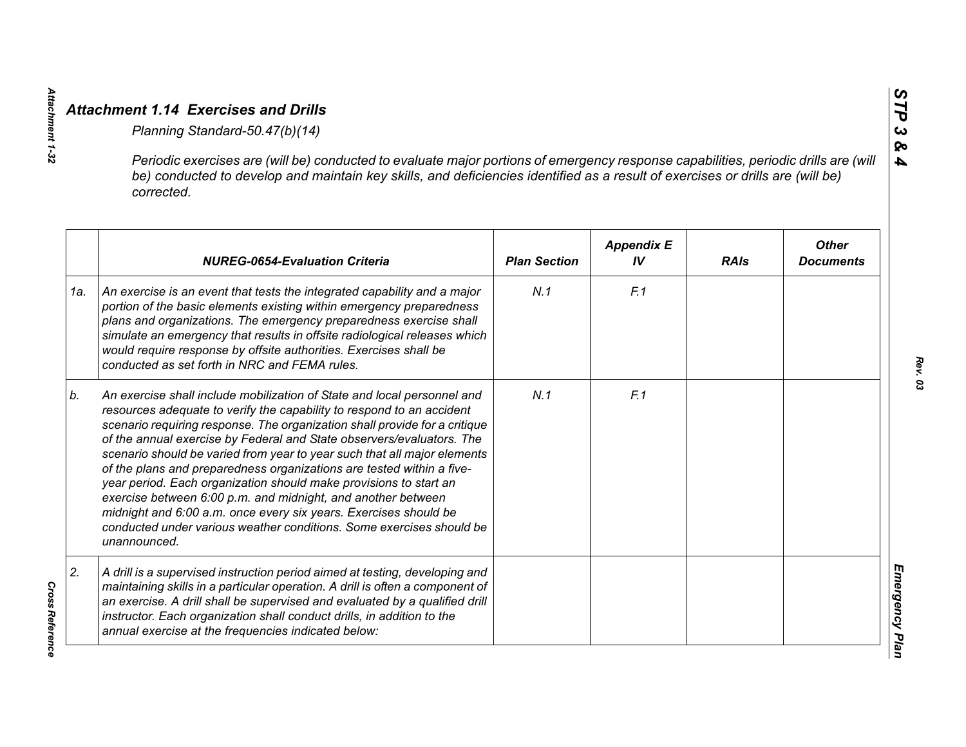|     | Periodic exercises are (will be) conducted to evaluate major portions of emergency response capabilities, periodic drills are (will<br>be) conducted to develop and maintain key skills, and deficiencies identified as a result of exercises or drills are (will be)<br>corrected.                                                                                                                                                                                                                                                                                                                                                                                                                                                                           |                     |                         |             |                                  |
|-----|---------------------------------------------------------------------------------------------------------------------------------------------------------------------------------------------------------------------------------------------------------------------------------------------------------------------------------------------------------------------------------------------------------------------------------------------------------------------------------------------------------------------------------------------------------------------------------------------------------------------------------------------------------------------------------------------------------------------------------------------------------------|---------------------|-------------------------|-------------|----------------------------------|
|     | <b>NUREG-0654-Evaluation Criteria</b>                                                                                                                                                                                                                                                                                                                                                                                                                                                                                                                                                                                                                                                                                                                         | <b>Plan Section</b> | <b>Appendix E</b><br>IV | <b>RAIs</b> | <b>Other</b><br><b>Documents</b> |
| 1a. | An exercise is an event that tests the integrated capability and a major<br>portion of the basic elements existing within emergency preparedness<br>plans and organizations. The emergency preparedness exercise shall<br>simulate an emergency that results in offsite radiological releases which<br>would require response by offsite authorities. Exercises shall be<br>conducted as set forth in NRC and FEMA rules.                                                                                                                                                                                                                                                                                                                                     | N.1                 | F.1                     |             |                                  |
| b.  | An exercise shall include mobilization of State and local personnel and<br>resources adequate to verify the capability to respond to an accident<br>scenario requiring response. The organization shall provide for a critique<br>of the annual exercise by Federal and State observers/evaluators. The<br>scenario should be varied from year to year such that all major elements<br>of the plans and preparedness organizations are tested within a five-<br>year period. Each organization should make provisions to start an<br>exercise between 6:00 p.m. and midnight, and another between<br>midnight and 6:00 a.m. once every six years. Exercises should be<br>conducted under various weather conditions. Some exercises should be<br>unannounced. | N.1                 | F.1                     |             |                                  |
| 2.  | A drill is a supervised instruction period aimed at testing, developing and<br>maintaining skills in a particular operation. A drill is often a component of<br>an exercise. A drill shall be supervised and evaluated by a qualified drill<br>instructor. Each organization shall conduct drills, in addition to the<br>annual exercise at the frequencies indicated below:                                                                                                                                                                                                                                                                                                                                                                                  |                     |                         |             |                                  |

Attachment 1-32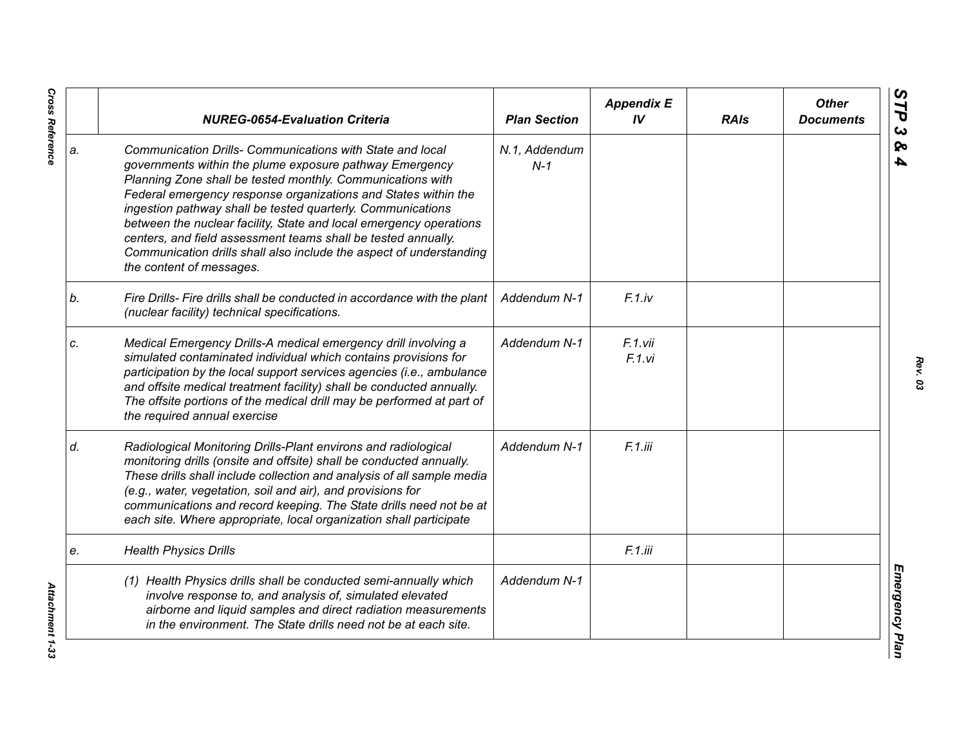|    | <b>NUREG-0654-Evaluation Criteria</b>                                                                                                                                                                                                                                                                                                                                                                                                                                                                                                                         | <b>Plan Section</b>    | <b>Appendix E</b><br>IV | <b>RAIs</b> | <b>Other</b><br><b>Documents</b> |
|----|---------------------------------------------------------------------------------------------------------------------------------------------------------------------------------------------------------------------------------------------------------------------------------------------------------------------------------------------------------------------------------------------------------------------------------------------------------------------------------------------------------------------------------------------------------------|------------------------|-------------------------|-------------|----------------------------------|
| a. | Communication Drills- Communications with State and local<br>governments within the plume exposure pathway Emergency<br>Planning Zone shall be tested monthly. Communications with<br>Federal emergency response organizations and States within the<br>ingestion pathway shall be tested quarterly. Communications<br>between the nuclear facility, State and local emergency operations<br>centers, and field assessment teams shall be tested annually.<br>Communication drills shall also include the aspect of understanding<br>the content of messages. | N.1, Addendum<br>$N-1$ |                         |             |                                  |
| b. | Fire Drills- Fire drills shall be conducted in accordance with the plant<br>(nuclear facility) technical specifications.                                                                                                                                                                                                                                                                                                                                                                                                                                      | Addendum N-1           | $F.1$ .iv               |             |                                  |
| c. | Medical Emergency Drills-A medical emergency drill involving a<br>simulated contaminated individual which contains provisions for<br>participation by the local support services agencies (i.e., ambulance<br>and offsite medical treatment facility) shall be conducted annually.<br>The offsite portions of the medical drill may be performed at part of<br>the required annual exercise                                                                                                                                                                   | Addendum N-1           | F.1.vii<br>F.1.vi       |             |                                  |
| d. | Radiological Monitoring Drills-Plant environs and radiological<br>monitoring drills (onsite and offsite) shall be conducted annually.<br>These drills shall include collection and analysis of all sample media<br>(e.g., water, vegetation, soil and air), and provisions for<br>communications and record keeping. The State drills need not be at<br>each site. Where appropriate, local organization shall participate                                                                                                                                    | Addendum N-1           | F.1.iii                 |             |                                  |
| е. | <b>Health Physics Drills</b>                                                                                                                                                                                                                                                                                                                                                                                                                                                                                                                                  |                        | F.1.iii                 |             |                                  |
|    | (1) Health Physics drills shall be conducted semi-annually which<br>involve response to, and analysis of, simulated elevated<br>airborne and liquid samples and direct radiation measurements<br>in the environment. The State drills need not be at each site.                                                                                                                                                                                                                                                                                               | Addendum N-1           |                         |             |                                  |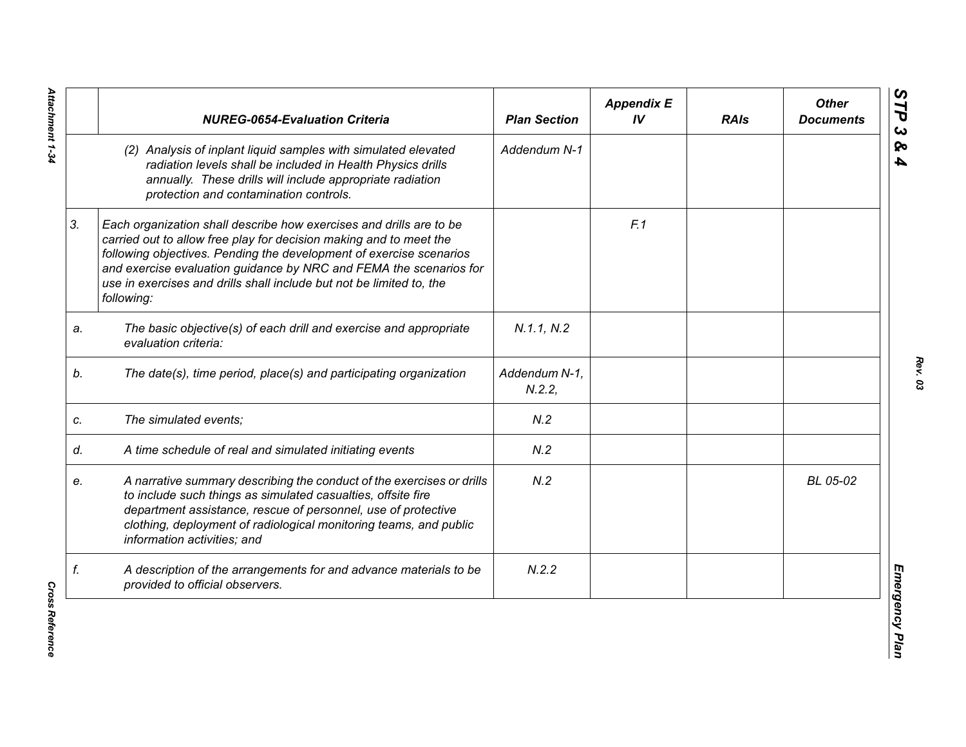|    | <b>NUREG-0654-Evaluation Criteria</b>                                                                                                                                                                                                                                                                                                                                        | <b>Plan Section</b>    | <b>Appendix E</b><br>IV | <b>RAIs</b> | <b>Other</b><br><b>Documents</b> |
|----|------------------------------------------------------------------------------------------------------------------------------------------------------------------------------------------------------------------------------------------------------------------------------------------------------------------------------------------------------------------------------|------------------------|-------------------------|-------------|----------------------------------|
|    | (2) Analysis of inplant liquid samples with simulated elevated<br>radiation levels shall be included in Health Physics drills<br>annually. These drills will include appropriate radiation<br>protection and contamination controls.                                                                                                                                         | Addendum N-1           |                         |             |                                  |
| 3. | Each organization shall describe how exercises and drills are to be<br>carried out to allow free play for decision making and to meet the<br>following objectives. Pending the development of exercise scenarios<br>and exercise evaluation guidance by NRC and FEMA the scenarios for<br>use in exercises and drills shall include but not be limited to, the<br>following: |                        | F.1                     |             |                                  |
| a. | The basic objective(s) of each drill and exercise and appropriate<br>evaluation criteria:                                                                                                                                                                                                                                                                                    | N.1.1, N.2             |                         |             |                                  |
| b. | The date(s), time period, place(s) and participating organization                                                                                                                                                                                                                                                                                                            | Addendum N-1,<br>N.2.2 |                         |             |                                  |
| C. | The simulated events;                                                                                                                                                                                                                                                                                                                                                        | N.2                    |                         |             |                                  |
| d. | A time schedule of real and simulated initiating events                                                                                                                                                                                                                                                                                                                      | N.2                    |                         |             |                                  |
| e. | A narrative summary describing the conduct of the exercises or drills<br>to include such things as simulated casualties, offsite fire<br>department assistance, rescue of personnel, use of protective<br>clothing, deployment of radiological monitoring teams, and public<br>information activities; and                                                                   | N.2                    |                         |             | BL 05-02                         |
| f. | A description of the arrangements for and advance materials to be<br>provided to official observers.                                                                                                                                                                                                                                                                         | N.2.2                  |                         |             |                                  |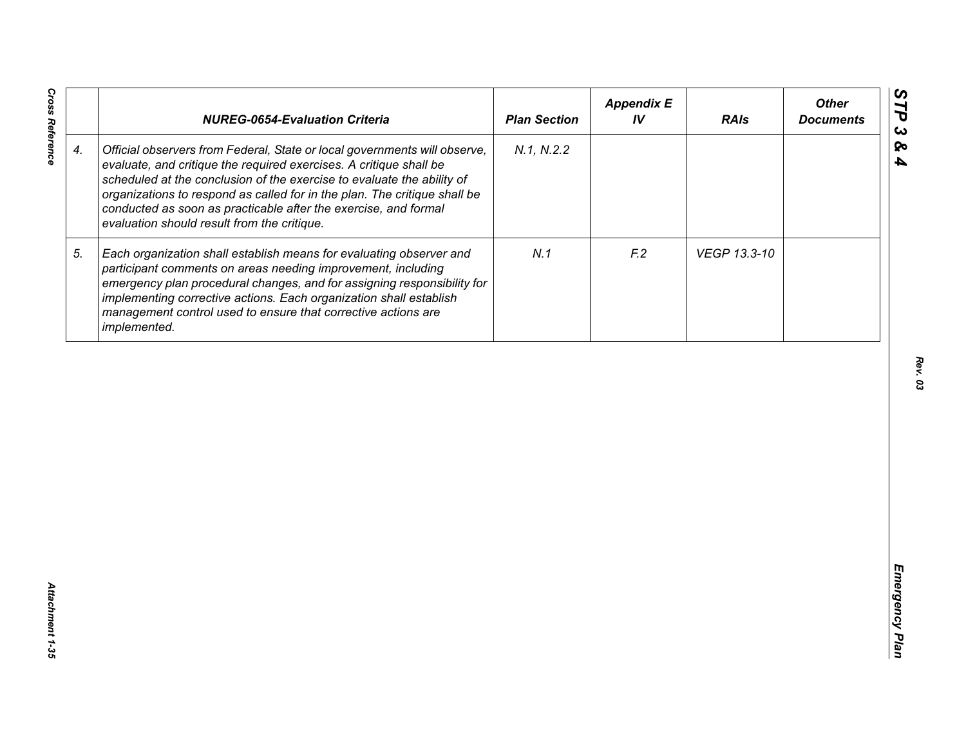|                    | <b>NUREG-0654-Evaluation Criteria</b>                                                                                                                                                                                                                                                                                                                                                                                    | <b>Plan Section</b> | <b>Appendix E</b><br>IV | <b>RAIs</b>  | <b>Other</b><br><b>Documents</b> |
|--------------------|--------------------------------------------------------------------------------------------------------------------------------------------------------------------------------------------------------------------------------------------------------------------------------------------------------------------------------------------------------------------------------------------------------------------------|---------------------|-------------------------|--------------|----------------------------------|
| $\boldsymbol{4}$ . | Official observers from Federal, State or local governments will observe,<br>evaluate, and critique the required exercises. A critique shall be<br>scheduled at the conclusion of the exercise to evaluate the ability of<br>organizations to respond as called for in the plan. The critique shall be<br>conducted as soon as practicable after the exercise, and formal<br>evaluation should result from the critique. | N.1, N.2.2          |                         |              |                                  |
| 5.                 | Each organization shall establish means for evaluating observer and<br>participant comments on areas needing improvement, including<br>emergency plan procedural changes, and for assigning responsibility for<br>implementing corrective actions. Each organization shall establish<br>management control used to ensure that corrective actions are<br>implemented.                                                    | N.1                 | F <sub>12</sub>         | VEGP 13.3-10 |                                  |
|                    |                                                                                                                                                                                                                                                                                                                                                                                                                          |                     |                         |              |                                  |
|                    |                                                                                                                                                                                                                                                                                                                                                                                                                          |                     |                         |              |                                  |
|                    |                                                                                                                                                                                                                                                                                                                                                                                                                          |                     |                         |              |                                  |
|                    |                                                                                                                                                                                                                                                                                                                                                                                                                          |                     |                         |              |                                  |
|                    |                                                                                                                                                                                                                                                                                                                                                                                                                          |                     |                         |              |                                  |

*Cross Reference Attachment 1-35* Attachment 1-35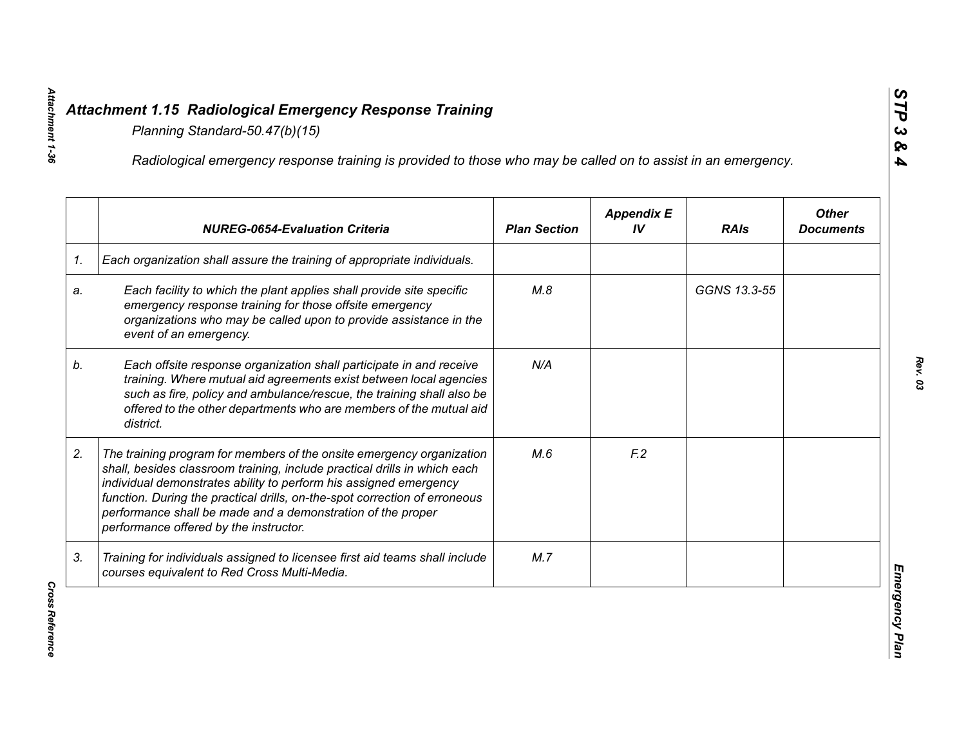|    | Radiological emergency response training is provided to those who may be called on to assist in an emergency.                                                                                                                                                                                                                                                                                                  |                     |                         |              |                                  |
|----|----------------------------------------------------------------------------------------------------------------------------------------------------------------------------------------------------------------------------------------------------------------------------------------------------------------------------------------------------------------------------------------------------------------|---------------------|-------------------------|--------------|----------------------------------|
|    | <b>NUREG-0654-Evaluation Criteria</b>                                                                                                                                                                                                                                                                                                                                                                          | <b>Plan Section</b> | <b>Appendix E</b><br>IV | <b>RAIs</b>  | <b>Other</b><br><b>Documents</b> |
| 1. | Each organization shall assure the training of appropriate individuals.                                                                                                                                                                                                                                                                                                                                        |                     |                         |              |                                  |
| a. | Each facility to which the plant applies shall provide site specific<br>emergency response training for those offsite emergency<br>organizations who may be called upon to provide assistance in the<br>event of an emergency.                                                                                                                                                                                 | M.8                 |                         | GGNS 13.3-55 |                                  |
| b. | Each offsite response organization shall participate in and receive<br>training. Where mutual aid agreements exist between local agencies<br>such as fire, policy and ambulance/rescue, the training shall also be<br>offered to the other departments who are members of the mutual aid<br>district.                                                                                                          | N/A                 |                         |              |                                  |
| 2. | The training program for members of the onsite emergency organization<br>shall, besides classroom training, include practical drills in which each<br>individual demonstrates ability to perform his assigned emergency<br>function. During the practical drills, on-the-spot correction of erroneous<br>performance shall be made and a demonstration of the proper<br>performance offered by the instructor. | M.6                 | F <sub>12</sub>         |              |                                  |
| 3. | Training for individuals assigned to licensee first aid teams shall include<br>courses equivalent to Red Cross Multi-Media.                                                                                                                                                                                                                                                                                    | M.7                 |                         |              |                                  |

*Cross Reference*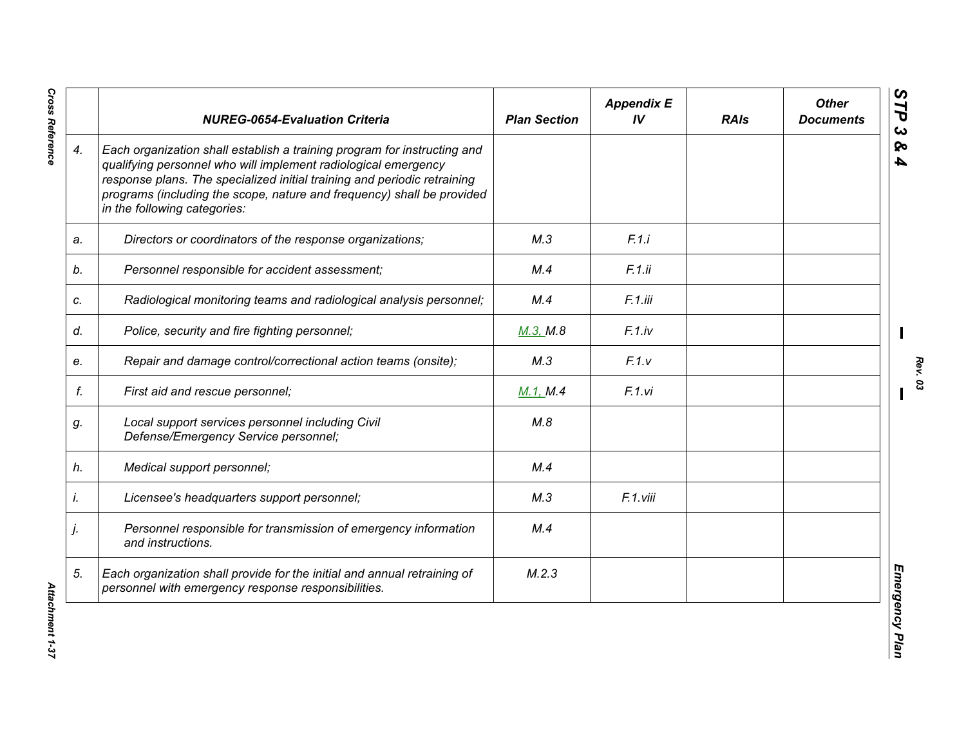|                    | <b>NUREG-0654-Evaluation Criteria</b>                                                                                                                                                                                                                                                                                            | <b>Plan Section</b> | <b>Appendix E</b><br>IV | <b>RAIs</b> | <b>Other</b><br><b>Documents</b> |
|--------------------|----------------------------------------------------------------------------------------------------------------------------------------------------------------------------------------------------------------------------------------------------------------------------------------------------------------------------------|---------------------|-------------------------|-------------|----------------------------------|
| $\boldsymbol{4}$ . | Each organization shall establish a training program for instructing and<br>qualifying personnel who will implement radiological emergency<br>response plans. The specialized initial training and periodic retraining<br>programs (including the scope, nature and frequency) shall be provided<br>in the following categories: |                     |                         |             |                                  |
| a.                 | Directors or coordinators of the response organizations;                                                                                                                                                                                                                                                                         | M.3                 | F.1.i                   |             |                                  |
| b.                 | Personnel responsible for accident assessment;                                                                                                                                                                                                                                                                                   | M.4                 | F.1.ii                  |             |                                  |
| c.                 | Radiological monitoring teams and radiological analysis personnel;                                                                                                                                                                                                                                                               | M.4                 | F.1.iii                 |             |                                  |
| d.                 | Police, security and fire fighting personnel;                                                                                                                                                                                                                                                                                    | M.3, M.8            | F.1iv                   |             |                                  |
| e.                 | Repair and damage control/correctional action teams (onsite);                                                                                                                                                                                                                                                                    | M.3                 | F.1.v                   |             |                                  |
| f.                 | First aid and rescue personnel;                                                                                                                                                                                                                                                                                                  | M.1, M.4            | F.1.vi                  |             |                                  |
| g.                 | Local support services personnel including Civil<br>Defense/Emergency Service personnel;                                                                                                                                                                                                                                         | M.8                 |                         |             |                                  |
| h.                 | Medical support personnel;                                                                                                                                                                                                                                                                                                       | M.4                 |                         |             |                                  |
| İ.                 | Licensee's headquarters support personnel;                                                                                                                                                                                                                                                                                       | M.3                 | F.1.viii                |             |                                  |
| j.                 | Personnel responsible for transmission of emergency information<br>and instructions.                                                                                                                                                                                                                                             | M.4                 |                         |             |                                  |
| 5.                 | Each organization shall provide for the initial and annual retraining of<br>personnel with emergency response responsibilities.                                                                                                                                                                                                  | M.2.3               |                         |             |                                  |

*Cross Reference Attachment 1-37* Attachment 1-37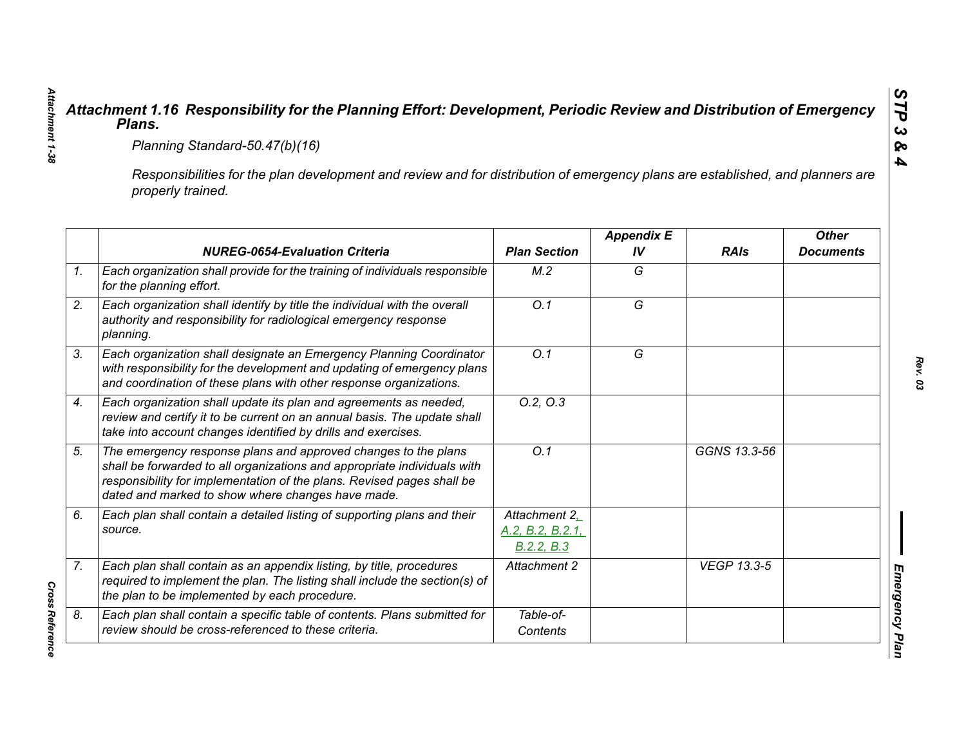|                                                                                                                                                     | Planning Standard-50.47(b)(16)                                                                                                                                                                                                                                            |                                                 |                         |                    |                                  |  |  |
|-----------------------------------------------------------------------------------------------------------------------------------------------------|---------------------------------------------------------------------------------------------------------------------------------------------------------------------------------------------------------------------------------------------------------------------------|-------------------------------------------------|-------------------------|--------------------|----------------------------------|--|--|
| Responsibilities for the plan development and review and for distribution of emergency plans are established, and planners are<br>properly trained. |                                                                                                                                                                                                                                                                           |                                                 |                         |                    |                                  |  |  |
|                                                                                                                                                     | <b>NUREG-0654-Evaluation Criteria</b>                                                                                                                                                                                                                                     | <b>Plan Section</b>                             | <b>Appendix E</b><br>IV | <b>RAIs</b>        | <b>Other</b><br><b>Documents</b> |  |  |
|                                                                                                                                                     | Each organization shall provide for the training of individuals responsible<br>for the planning effort.                                                                                                                                                                   | M.2                                             | G                       |                    |                                  |  |  |
| planning.                                                                                                                                           | Each organization shall identify by title the individual with the overall<br>authority and responsibility for radiological emergency response                                                                                                                             | $\overline{O.1}$                                | $\overline{G}$          |                    |                                  |  |  |
|                                                                                                                                                     | Each organization shall designate an Emergency Planning Coordinator<br>with responsibility for the development and updating of emergency plans<br>and coordination of these plans with other response organizations.                                                      | O.1                                             | G                       |                    |                                  |  |  |
|                                                                                                                                                     | Each organization shall update its plan and agreements as needed,<br>review and certify it to be current on an annual basis. The update shall<br>take into account changes identified by drills and exercises.                                                            | 0.2, 0.3                                        |                         |                    |                                  |  |  |
|                                                                                                                                                     | The emergency response plans and approved changes to the plans<br>shall be forwarded to all organizations and appropriate individuals with<br>responsibility for implementation of the plans. Revised pages shall be<br>dated and marked to show where changes have made. | Q.1                                             |                         | GGNS 13.3-56       |                                  |  |  |
| source.                                                                                                                                             | Each plan shall contain a detailed listing of supporting plans and their                                                                                                                                                                                                  | Attachment 2,<br>A.2, B.2, B.2.1,<br>B.2.2, B.3 |                         |                    |                                  |  |  |
|                                                                                                                                                     | Each plan shall contain as an appendix listing, by title, procedures<br>required to implement the plan. The listing shall include the section(s) of<br>the plan to be implemented by each procedure.                                                                      | Attachment 2                                    |                         | <b>VEGP 13.3-5</b> |                                  |  |  |
|                                                                                                                                                     | Each plan shall contain a specific table of contents. Plans submitted for<br>review should be cross-referenced to these criteria.                                                                                                                                         | Table-of-<br>Contents                           |                         |                    |                                  |  |  |

*Cross Reference*